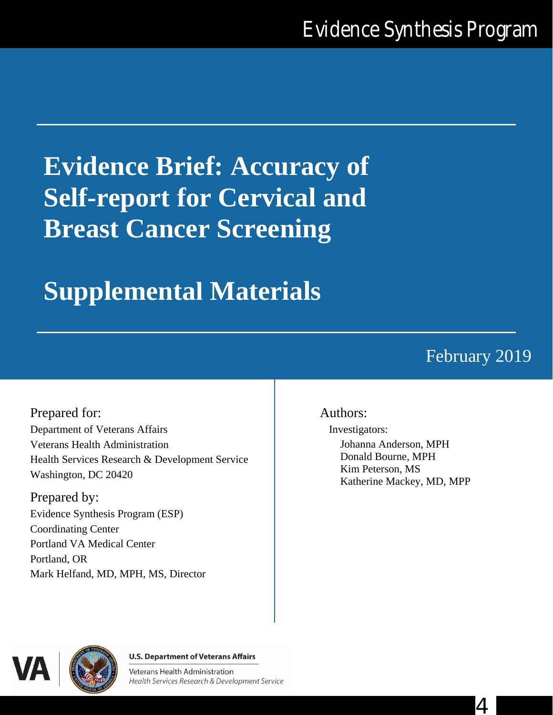# **Evidence Brief: Accuracy of Self-report for Cervical and Breast Cancer Screening**

# **Supplemental Materials**

# February 2019

Prepared for: Department of Veterans Affairs Veterans Health Administration Health Services Research & Development Service Washington, DC 20420

Prepared by: Evidence Synthesis Program (ESP) Coordinating Center Portland VA Medical Center Portland, OR Mark Helfand, MD, MPH, MS, Director

#### Authors:

Investigators: Johanna Anderson, MPH Donald Bourne, MPH Kim Peterson, MS Katherine Mackey, MD, MPP



#### **U.S. Department of Veterans Affairs**

Veterans Health Administration Health Services Research & Development Service

4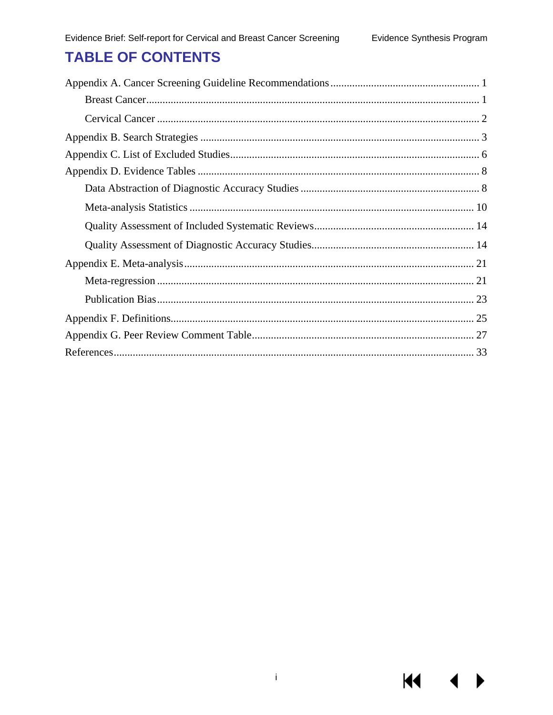# **TABLE OF CONTENTS**

KI I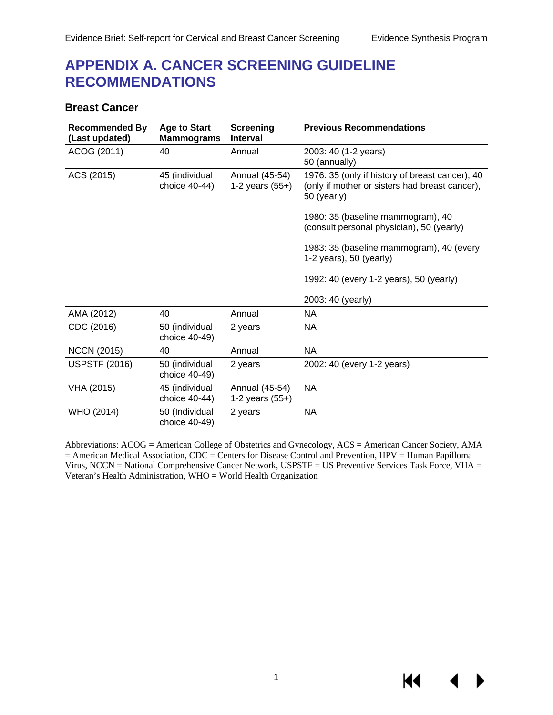## <span id="page-2-0"></span>**APPENDIX A. CANCER SCREENING GUIDELINE RECOMMENDATIONS**

#### <span id="page-2-1"></span>**Breast Cancer**

| <b>Recommended By</b><br>(Last updated) | <b>Age to Start</b><br><b>Mammograms</b> | <b>Screening</b><br><b>Interval</b> | <b>Previous Recommendations</b>                                                                                  |
|-----------------------------------------|------------------------------------------|-------------------------------------|------------------------------------------------------------------------------------------------------------------|
| ACOG (2011)                             | 40                                       | Annual                              | 2003: 40 (1-2 years)<br>50 (annually)                                                                            |
| ACS (2015)                              | 45 (individual<br>choice 40-44)          | Annual (45-54)<br>1-2 years $(55+)$ | 1976: 35 (only if history of breast cancer), 40<br>(only if mother or sisters had breast cancer),<br>50 (yearly) |
|                                         |                                          |                                     | 1980: 35 (baseline mammogram), 40<br>(consult personal physician), 50 (yearly)                                   |
|                                         |                                          |                                     | 1983: 35 (baseline mammogram), 40 (every<br>$1-2$ years), 50 (yearly)                                            |
|                                         |                                          |                                     | 1992: 40 (every 1-2 years), 50 (yearly)                                                                          |
|                                         |                                          |                                     | 2003: 40 (yearly)                                                                                                |
| AMA (2012)                              | 40                                       | Annual                              | <b>NA</b>                                                                                                        |
| CDC (2016)                              | 50 (individual<br>choice 40-49)          | 2 years                             | <b>NA</b>                                                                                                        |
| <b>NCCN (2015)</b>                      | 40                                       | Annual                              | <b>NA</b>                                                                                                        |
| <b>USPSTF (2016)</b>                    | 50 (individual<br>choice 40-49)          | 2 years                             | 2002: 40 (every 1-2 years)                                                                                       |
| VHA (2015)                              | 45 (individual<br>choice 40-44)          | Annual (45-54)<br>1-2 years $(55+)$ | <b>NA</b>                                                                                                        |
| WHO (2014)                              | 50 (Individual<br>choice 40-49)          | 2 years                             | <b>NA</b>                                                                                                        |

Abbreviations: ACOG = American College of Obstetrics and Gynecology, ACS = American Cancer Society, AMA = American Medical Association, CDC = Centers for Disease Control and Prevention, HPV = Human Papilloma Virus, NCCN = National Comprehensive Cancer Network, USPSTF = US Preventive Services Task Force, VHA = Veteran's Health Administration, WHO = World Health Organization

KI.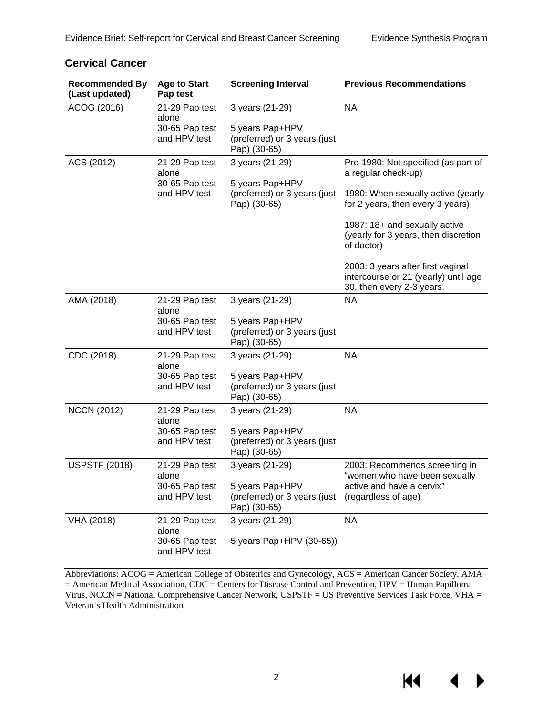$M \sim 1$ 

 $\blacktriangleright$ 

| <b>Recommended By</b><br>(Last updated) | <b>Age to Start</b><br>Pap test | <b>Screening Interval</b>                                       | <b>Previous Recommendations</b>                                                                        |
|-----------------------------------------|---------------------------------|-----------------------------------------------------------------|--------------------------------------------------------------------------------------------------------|
| ACOG (2016)                             | 21-29 Pap test<br>alone         | 3 years (21-29)                                                 | <b>NA</b>                                                                                              |
|                                         | 30-65 Pap test<br>and HPV test  | 5 years Pap+HPV<br>(preferred) or 3 years (just<br>Pap) (30-65) |                                                                                                        |
| ACS (2012)                              | 21-29 Pap test<br>alone         | 3 years (21-29)                                                 | Pre-1980: Not specified (as part of<br>a regular check-up)                                             |
|                                         | 30-65 Pap test<br>and HPV test  | 5 years Pap+HPV<br>(preferred) or 3 years (just<br>Pap) (30-65) | 1980: When sexually active (yearly<br>for 2 years, then every 3 years)                                 |
|                                         |                                 |                                                                 | 1987: 18+ and sexually active<br>(yearly for 3 years, then discretion<br>of doctor)                    |
|                                         |                                 |                                                                 | 2003: 3 years after first vaginal<br>intercourse or 21 (yearly) until age<br>30, then every 2-3 years. |
| AMA (2018)                              | 21-29 Pap test<br>alone         | 3 years (21-29)                                                 | <b>NA</b>                                                                                              |
|                                         | 30-65 Pap test<br>and HPV test  | 5 years Pap+HPV<br>(preferred) or 3 years (just<br>Pap) (30-65) |                                                                                                        |
| CDC (2018)                              | 21-29 Pap test<br>alone         | 3 years (21-29)                                                 | <b>NA</b>                                                                                              |
|                                         | 30-65 Pap test<br>and HPV test  | 5 years Pap+HPV<br>(preferred) or 3 years (just<br>Pap) (30-65) |                                                                                                        |
| <b>NCCN (2012)</b>                      | 21-29 Pap test<br>alone         | 3 years (21-29)                                                 | <b>NA</b>                                                                                              |
|                                         | 30-65 Pap test<br>and HPV test  | 5 years Pap+HPV<br>(preferred) or 3 years (just<br>Pap) (30-65) |                                                                                                        |
| <b>USPSTF (2018)</b>                    | 21-29 Pap test<br>alone         | 3 years (21-29)                                                 | 2003: Recommends screening in<br>"women who have been sexually                                         |
|                                         | 30-65 Pap test<br>and HPV test  | 5 years Pap+HPV<br>(preferred) or 3 years (just<br>Pap) (30-65) | active and have a cervix"<br>(regardless of age)                                                       |
| VHA (2018)                              | 21-29 Pap test<br>alone         | 3 years (21-29)                                                 | <b>NA</b>                                                                                              |
|                                         | 30-65 Pap test<br>and HPV test  | 5 years Pap+HPV (30-65))                                        |                                                                                                        |

#### <span id="page-3-0"></span>**Cervical Cancer**

Abbreviations: ACOG = American College of Obstetrics and Gynecology, ACS = American Cancer Society, AMA = American Medical Association, CDC = Centers for Disease Control and Prevention, HPV = Human Papilloma Virus, NCCN = National Comprehensive Cancer Network, USPSTF = US Preventive Services Task Force, VHA = Veteran's Health Administration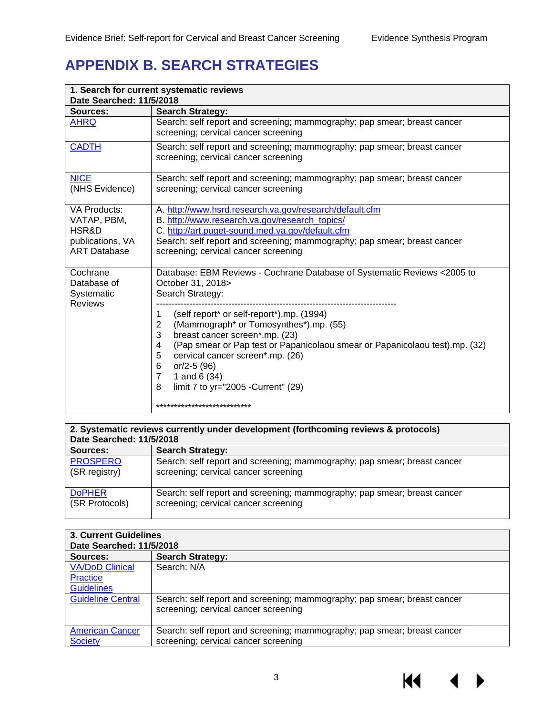# <span id="page-4-0"></span>**APPENDIX B. SEARCH STRATEGIES**

| 1. Search for current systematic reviews<br>Date Searched: 11/5/2018                   |                                                                                                                                                                                                                                                                                                                                                                                   |  |  |
|----------------------------------------------------------------------------------------|-----------------------------------------------------------------------------------------------------------------------------------------------------------------------------------------------------------------------------------------------------------------------------------------------------------------------------------------------------------------------------------|--|--|
| Sources:                                                                               | <b>Search Strategy:</b>                                                                                                                                                                                                                                                                                                                                                           |  |  |
| <b>AHRQ</b>                                                                            | Search: self report and screening; mammography; pap smear; breast cancer<br>screening; cervical cancer screening                                                                                                                                                                                                                                                                  |  |  |
| <b>CADTH</b>                                                                           | Search: self report and screening; mammography; pap smear; breast cancer<br>screening; cervical cancer screening                                                                                                                                                                                                                                                                  |  |  |
| <b>NICE</b><br>(NHS Evidence)                                                          | Search: self report and screening; mammography; pap smear; breast cancer<br>screening; cervical cancer screening                                                                                                                                                                                                                                                                  |  |  |
| <b>VA Products:</b><br>VATAP, PBM,<br>HSR&D<br>publications, VA<br><b>ART Database</b> | A. http://www.hsrd.research.va.gov/research/default.cfm<br>B. http://www.research.va.gov/research_topics/<br>C. http://art.puget-sound.med.va.gov/default.cfm<br>Search: self report and screening; mammography; pap smear; breast cancer<br>screening; cervical cancer screening                                                                                                 |  |  |
| Cochrane<br>Database of<br>Systematic<br><b>Reviews</b>                                | Database: EBM Reviews - Cochrane Database of Systematic Reviews <2005 to<br>October 31, 2018><br>Search Strategy:                                                                                                                                                                                                                                                                 |  |  |
|                                                                                        | (self report* or self-report*).mp. (1994)<br>1<br>(Mammograph* or Tomosynthes*).mp. (55)<br>$\overline{2}$<br>3<br>breast cancer screen*.mp. (23)<br>(Pap smear or Pap test or Papanicolaou smear or Papanicolaou test).mp. (32)<br>4<br>5<br>cervical cancer screen*.mp. (26)<br>6<br>$or/2-5(96)$<br>1 and 6 (34)<br>$\overline{7}$<br>limit 7 to yr="2005 - Current" (29)<br>8 |  |  |
|                                                                                        | ***************************                                                                                                                                                                                                                                                                                                                                                       |  |  |

| 2. Systematic reviews currently under development (forthcoming reviews & protocols)<br>Date Searched: 11/5/2018 |                                                                          |  |  |
|-----------------------------------------------------------------------------------------------------------------|--------------------------------------------------------------------------|--|--|
| Sources:                                                                                                        | <b>Search Strategy:</b>                                                  |  |  |
| <b>PROSPERO</b>                                                                                                 | Search: self report and screening; mammography; pap smear; breast cancer |  |  |
| (SR registry)                                                                                                   | screening; cervical cancer screening                                     |  |  |
| <b>DoPHER</b>                                                                                                   | Search: self report and screening; mammography; pap smear; breast cancer |  |  |
| (SR Protocols)                                                                                                  | screening; cervical cancer screening                                     |  |  |

| <b>3. Current Guidelines</b> |                                                                          |  |  |  |
|------------------------------|--------------------------------------------------------------------------|--|--|--|
| Date Searched: 11/5/2018     |                                                                          |  |  |  |
| Sources:                     | <b>Search Strategy:</b>                                                  |  |  |  |
| <b>VA/DoD Clinical</b>       | Search: N/A                                                              |  |  |  |
| Practice                     |                                                                          |  |  |  |
| <b>Guidelines</b>            |                                                                          |  |  |  |
| <b>Guideline Central</b>     | Search: self report and screening; mammography; pap smear; breast cancer |  |  |  |
|                              | screening; cervical cancer screening                                     |  |  |  |
|                              |                                                                          |  |  |  |
| <b>American Cancer</b>       | Search: self report and screening; mammography; pap smear; breast cancer |  |  |  |
| <b>Society</b>               | screening; cervical cancer screening                                     |  |  |  |

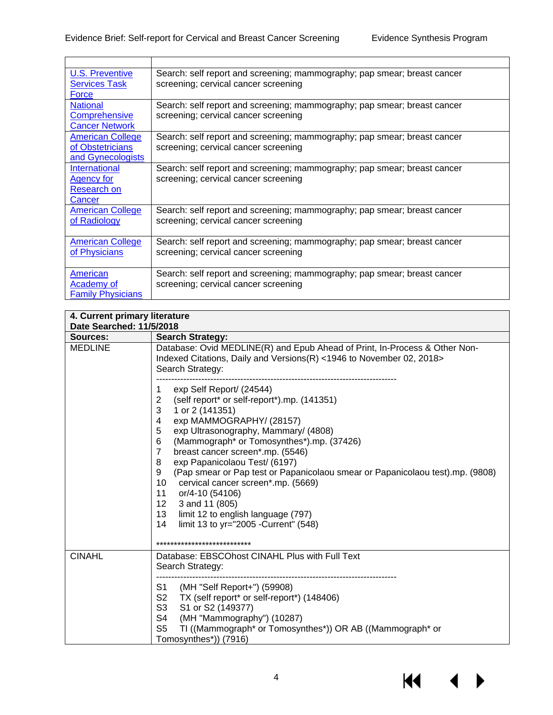$\blacksquare$ 

| <b>U.S. Preventive</b>   | Search: self report and screening; mammography; pap smear; breast cancer |
|--------------------------|--------------------------------------------------------------------------|
| <b>Services Task</b>     | screening; cervical cancer screening                                     |
| Force                    |                                                                          |
| <b>National</b>          | Search: self report and screening; mammography; pap smear; breast cancer |
| Comprehensive            | screening; cervical cancer screening                                     |
| <b>Cancer Network</b>    |                                                                          |
| <b>American College</b>  | Search: self report and screening; mammography; pap smear; breast cancer |
| of Obstetricians         | screening; cervical cancer screening                                     |
| and Gynecologists        |                                                                          |
| International            | Search: self report and screening; mammography; pap smear; breast cancer |
| <b>Agency for</b>        | screening; cervical cancer screening                                     |
| <b>Research on</b>       |                                                                          |
| Cancer                   |                                                                          |
| <b>American College</b>  | Search: self report and screening; mammography; pap smear; breast cancer |
| of Radiology             | screening; cervical cancer screening                                     |
|                          |                                                                          |
| <b>American College</b>  | Search: self report and screening; mammography; pap smear; breast cancer |
| of Physicians            | screening; cervical cancer screening                                     |
|                          |                                                                          |
| American                 | Search: self report and screening; mammography; pap smear; breast cancer |
| Academy of               | screening; cervical cancer screening                                     |
| <b>Family Physicians</b> |                                                                          |

| 4. Current primary literature<br>Date Searched: 11/5/2018 |                                                                                                                                                                                                                                                                                                                                                                                                                                                                                                                                                                                                                     |
|-----------------------------------------------------------|---------------------------------------------------------------------------------------------------------------------------------------------------------------------------------------------------------------------------------------------------------------------------------------------------------------------------------------------------------------------------------------------------------------------------------------------------------------------------------------------------------------------------------------------------------------------------------------------------------------------|
| Sources:                                                  | <b>Search Strategy:</b>                                                                                                                                                                                                                                                                                                                                                                                                                                                                                                                                                                                             |
| <b>MEDLINE</b>                                            | Database: Ovid MEDLINE(R) and Epub Ahead of Print, In-Process & Other Non-<br>Indexed Citations, Daily and Versions(R) <1946 to November 02, 2018><br>Search Strategy:                                                                                                                                                                                                                                                                                                                                                                                                                                              |
|                                                           | exp Self Report/ (24544)<br>1<br>(self report* or self-report*).mp. (141351)<br>2<br>3<br>1 or 2 (141351)<br>exp MAMMOGRAPHY/ (28157)<br>4<br>5<br>exp Ultrasonography, Mammary/ (4808)<br>6<br>(Mammograph* or Tomosynthes*).mp. (37426)<br>$\overline{7}$<br>breast cancer screen*.mp. (5546)<br>8<br>exp Papanicolaou Test/ (6197)<br>(Pap smear or Pap test or Papanicolaou smear or Papanicolaou test).mp. (9808)<br>9<br>10<br>cervical cancer screen*.mp. (5669)<br>11<br>or/4-10 (54106)<br>12<br>3 and 11 (805)<br>13<br>limit 12 to english language (797)<br>14<br>limit 13 to yr="2005 - Current" (548) |
|                                                           | ***************************                                                                                                                                                                                                                                                                                                                                                                                                                                                                                                                                                                                         |
| <b>CINAHL</b>                                             | Database: EBSCOhost CINAHL Plus with Full Text<br>Search Strategy:                                                                                                                                                                                                                                                                                                                                                                                                                                                                                                                                                  |
|                                                           | (MH "Self Report+") (59908)<br>S1<br>S2<br>TX (self report* or self-report*) (148406)<br>S <sub>3</sub><br>S1 or S2 (149377)<br>S <sub>4</sub><br>(MH "Mammography") (10287)<br>S <sub>5</sub><br>TI ((Mammograph* or Tomosynthes*)) OR AB ((Mammograph* or<br>Tomosynthes*)) (7916)                                                                                                                                                                                                                                                                                                                                |

KI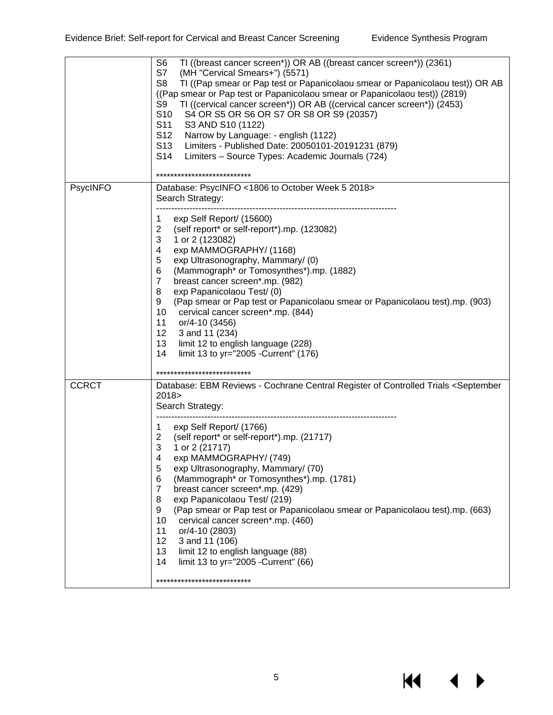$M \cdot 1$ 

 $\blacktriangleright$ 

|                 | TI ((breast cancer screen*)) OR AB ((breast cancer screen*)) (2361)<br>S <sub>6</sub><br>S7<br>(MH "Cervical Smears+") (5571)<br>S <sub>8</sub><br>TI ((Pap smear or Pap test or Papanicolaou smear or Papanicolaou test)) OR AB<br>((Pap smear or Pap test or Papanicolaou smear or Papanicolaou test)) (2819)<br>TI ((cervical cancer screen*)) OR AB ((cervical cancer screen*)) (2453)<br>S9<br>S <sub>10</sub><br>S4 OR S5 OR S6 OR S7 OR S8 OR S9 (20357)<br>S11<br>S3 AND S10 (1122)<br>S12<br>Narrow by Language: - english (1122)<br>Limiters - Published Date: 20050101-20191231 (879)<br>S13<br>S14<br>Limiters - Source Types: Academic Journals (724)<br>************************                                                                                                               |
|-----------------|--------------------------------------------------------------------------------------------------------------------------------------------------------------------------------------------------------------------------------------------------------------------------------------------------------------------------------------------------------------------------------------------------------------------------------------------------------------------------------------------------------------------------------------------------------------------------------------------------------------------------------------------------------------------------------------------------------------------------------------------------------------------------------------------------------------|
|                 |                                                                                                                                                                                                                                                                                                                                                                                                                                                                                                                                                                                                                                                                                                                                                                                                              |
| <b>PsycINFO</b> | Database: PsycINFO <1806 to October Week 5 2018><br>Search Strategy:                                                                                                                                                                                                                                                                                                                                                                                                                                                                                                                                                                                                                                                                                                                                         |
|                 | exp Self Report/ (15600)<br>1<br>$\overline{2}$<br>(self report* or self-report*).mp. (123082)<br>3<br>1 or 2 (123082)<br>exp MAMMOGRAPHY/ (1168)<br>4<br>5<br>exp Ultrasonography, Mammary/ (0)<br>(Mammograph* or Tomosynthes*).mp. (1882)<br>6<br>$\overline{7}$<br>breast cancer screen*.mp. (982)<br>exp Papanicolaou Test/ (0)<br>8<br>9<br>(Pap smear or Pap test or Papanicolaou smear or Papanicolaou test).mp. (903)<br>10<br>cervical cancer screen*.mp. (844)<br>11<br>or/4-10 (3456)<br>12 <sub>2</sub><br>3 and 11 (234)<br>13<br>limit 12 to english language (228)<br>14<br>limit 13 to yr="2005 - Current" (176)                                                                                                                                                                            |
|                 | ***************************                                                                                                                                                                                                                                                                                                                                                                                                                                                                                                                                                                                                                                                                                                                                                                                  |
| <b>CCRCT</b>    | Database: EBM Reviews - Cochrane Central Register of Controlled Trials <september<br>2018<br/>Search Strategy:<br/>exp Self Report/ (1766)<br/>1<br/><math>\overline{2}</math><br/>(self report* or self-report*).mp. (21717)<br/>3<br/>1 or 2 (21717)<br/>exp MAMMOGRAPHY/ (749)<br/>4<br/>5<br/>exp Ultrasonography, Mammary/ (70)<br/>(Mammograph* or Tomosynthes*).mp. (1781)<br/>6<br/>breast cancer screen*.mp. (429)<br/>7<br/>exp Papanicolaou Test/ (219)<br/>8<br/>(Pap smear or Pap test or Papanicolaou smear or Papanicolaou test).mp. (663)<br/>9<br/>10<br/>cervical cancer screen*.mp. (460)<br/>or/4-10 (2803)<br/>11<br/>12<br/>3 and 11 (106)<br/>13<br/>limit 12 to english language (88)<br/>14<br/>limit 13 to yr="2005 - Current" (66)<br/>***************************</september<br> |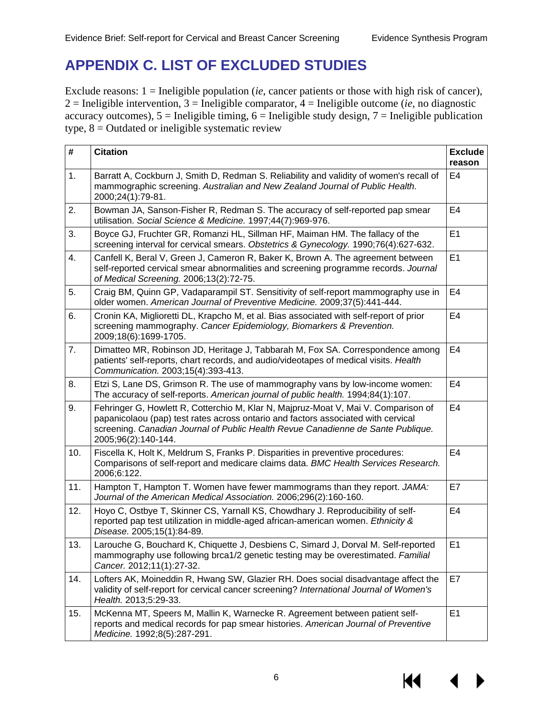# <span id="page-7-0"></span>**APPENDIX C. LIST OF EXCLUDED STUDIES**

Exclude reasons: 1 = Ineligible population (*ie*, cancer patients or those with high risk of cancer), 2 = Ineligible intervention, 3 = Ineligible comparator, 4 = Ineligible outcome (*ie*, no diagnostic  $\alpha$ curacy outcomes),  $5 =$  Ineligible timing,  $6 =$  Ineligible study design,  $7 =$  Ineligible publication type,  $8 =$  Outdated or ineligible systematic review

| #   | <b>Citation</b>                                                                                                                                                                                                                                                                    | <b>Exclude</b><br>reason |
|-----|------------------------------------------------------------------------------------------------------------------------------------------------------------------------------------------------------------------------------------------------------------------------------------|--------------------------|
| 1.  | Barratt A, Cockburn J, Smith D, Redman S. Reliability and validity of women's recall of<br>mammographic screening. Australian and New Zealand Journal of Public Health.<br>2000;24(1):79-81.                                                                                       | E <sub>4</sub>           |
| 2.  | Bowman JA, Sanson-Fisher R, Redman S. The accuracy of self-reported pap smear<br>utilisation. Social Science & Medicine. 1997;44(7):969-976.                                                                                                                                       | E <sub>4</sub>           |
| 3.  | Boyce GJ, Fruchter GR, Romanzi HL, Sillman HF, Maiman HM. The fallacy of the<br>screening interval for cervical smears. Obstetrics & Gynecology. 1990;76(4):627-632.                                                                                                               | E1                       |
| 4.  | Canfell K, Beral V, Green J, Cameron R, Baker K, Brown A. The agreement between<br>self-reported cervical smear abnormalities and screening programme records. Journal<br>of Medical Screening. 2006;13(2):72-75.                                                                  | E1                       |
| 5.  | Craig BM, Quinn GP, Vadaparampil ST. Sensitivity of self-report mammography use in<br>older women. American Journal of Preventive Medicine. 2009;37(5):441-444.                                                                                                                    | E4                       |
| 6.  | Cronin KA, Miglioretti DL, Krapcho M, et al. Bias associated with self-report of prior<br>screening mammography. Cancer Epidemiology, Biomarkers & Prevention.<br>2009;18(6):1699-1705.                                                                                            | E <sub>4</sub>           |
| 7.  | Dimatteo MR, Robinson JD, Heritage J, Tabbarah M, Fox SA. Correspondence among<br>patients' self-reports, chart records, and audio/videotapes of medical visits. Health<br>Communication. 2003;15(4):393-413.                                                                      | E <sub>4</sub>           |
| 8.  | Etzi S, Lane DS, Grimson R. The use of mammography vans by low-income women:<br>The accuracy of self-reports. American journal of public health. 1994;84(1):107.                                                                                                                   | E <sub>4</sub>           |
| 9.  | Fehringer G, Howlett R, Cotterchio M, Klar N, Majpruz-Moat V, Mai V. Comparison of<br>papanicolaou (pap) test rates across ontario and factors associated with cervical<br>screening. Canadian Journal of Public Health Revue Canadienne de Sante Publique.<br>2005;96(2):140-144. | E <sub>4</sub>           |
| 10. | Fiscella K, Holt K, Meldrum S, Franks P. Disparities in preventive procedures:<br>Comparisons of self-report and medicare claims data. BMC Health Services Research.<br>2006;6:122.                                                                                                | E <sub>4</sub>           |
| 11. | Hampton T, Hampton T. Women have fewer mammograms than they report. JAMA:<br>Journal of the American Medical Association. 2006;296(2):160-160.                                                                                                                                     | E7                       |
| 12. | Hoyo C, Ostbye T, Skinner CS, Yarnall KS, Chowdhary J. Reproducibility of self-<br>reported pap test utilization in middle-aged african-american women. Ethnicity &<br>Disease. 2005;15(1):84-89.                                                                                  | E <sub>4</sub>           |
| 13. | Larouche G, Bouchard K, Chiquette J, Desbiens C, Simard J, Dorval M. Self-reported<br>mammography use following brca1/2 genetic testing may be overestimated. Familial<br>Cancer. 2012;11(1):27-32.                                                                                | E1                       |
| 14. | Lofters AK, Moineddin R, Hwang SW, Glazier RH. Does social disadvantage affect the<br>validity of self-report for cervical cancer screening? International Journal of Women's<br>Health. 2013;5:29-33.                                                                             | E7                       |
| 15. | McKenna MT, Speers M, Mallin K, Warnecke R. Agreement between patient self-<br>reports and medical records for pap smear histories. American Journal of Preventive<br>Medicine. 1992;8(5):287-291.                                                                                 | E1                       |

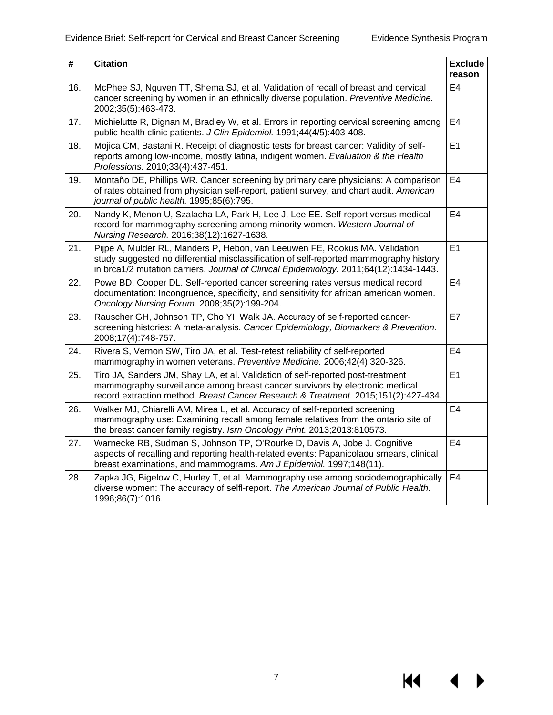$M \cdot 1$ 

 $\blacktriangleright$ 

| #   | <b>Citation</b>                                                                                                                                                                                                                                                 | <b>Exclude</b><br>reason |
|-----|-----------------------------------------------------------------------------------------------------------------------------------------------------------------------------------------------------------------------------------------------------------------|--------------------------|
| 16. | McPhee SJ, Nguyen TT, Shema SJ, et al. Validation of recall of breast and cervical<br>cancer screening by women in an ethnically diverse population. Preventive Medicine.<br>2002;35(5):463-473.                                                                | E <sub>4</sub>           |
| 17. | Michielutte R, Dignan M, Bradley W, et al. Errors in reporting cervical screening among<br>public health clinic patients. J Clin Epidemiol. 1991;44(4/5):403-408.                                                                                               | E <sub>4</sub>           |
| 18. | Mojica CM, Bastani R. Receipt of diagnostic tests for breast cancer: Validity of self-<br>reports among low-income, mostly latina, indigent women. Evaluation & the Health<br>Professions. 2010;33(4):437-451.                                                  | E1                       |
| 19. | Montaño DE, Phillips WR. Cancer screening by primary care physicians: A comparison<br>of rates obtained from physician self-report, patient survey, and chart audit. American<br>journal of public health. 1995;85(6):795.                                      | E <sub>4</sub>           |
| 20. | Nandy K, Menon U, Szalacha LA, Park H, Lee J, Lee EE. Self-report versus medical<br>record for mammography screening among minority women. Western Journal of<br>Nursing Research. 2016;38(12):1627-1638.                                                       | E <sub>4</sub>           |
| 21. | Pijpe A, Mulder RL, Manders P, Hebon, van Leeuwen FE, Rookus MA. Validation<br>study suggested no differential misclassification of self-reported mammography history<br>in brca1/2 mutation carriers. Journal of Clinical Epidemiology. 2011;64(12):1434-1443. | E1                       |
| 22. | Powe BD, Cooper DL. Self-reported cancer screening rates versus medical record<br>documentation: Incongruence, specificity, and sensitivity for african american women.<br>Oncology Nursing Forum. 2008;35(2):199-204.                                          | E <sub>4</sub>           |
| 23. | Rauscher GH, Johnson TP, Cho YI, Walk JA. Accuracy of self-reported cancer-<br>screening histories: A meta-analysis. Cancer Epidemiology, Biomarkers & Prevention.<br>2008;17(4):748-757.                                                                       | E7                       |
| 24. | Rivera S, Vernon SW, Tiro JA, et al. Test-retest reliability of self-reported<br>mammography in women veterans. Preventive Medicine. 2006;42(4):320-326.                                                                                                        | E <sub>4</sub>           |
| 25. | Tiro JA, Sanders JM, Shay LA, et al. Validation of self-reported post-treatment<br>mammography surveillance among breast cancer survivors by electronic medical<br>record extraction method. Breast Cancer Research & Treatment. 2015;151(2):427-434.           | E1                       |
| 26. | Walker MJ, Chiarelli AM, Mirea L, et al. Accuracy of self-reported screening<br>mammography use: Examining recall among female relatives from the ontario site of<br>the breast cancer family registry. Isrn Oncology Print. 2013;2013:810573.                  | E4                       |
| 27. | Warnecke RB, Sudman S, Johnson TP, O'Rourke D, Davis A, Jobe J. Cognitive<br>aspects of recalling and reporting health-related events: Papanicolaou smears, clinical<br>breast examinations, and mammograms. Am J Epidemiol. 1997;148(11).                      | E <sub>4</sub>           |
| 28. | Zapka JG, Bigelow C, Hurley T, et al. Mammography use among sociodemographically<br>diverse women: The accuracy of selfl-report. The American Journal of Public Health.<br>1996;86(7):1016.                                                                     | E <sub>4</sub>           |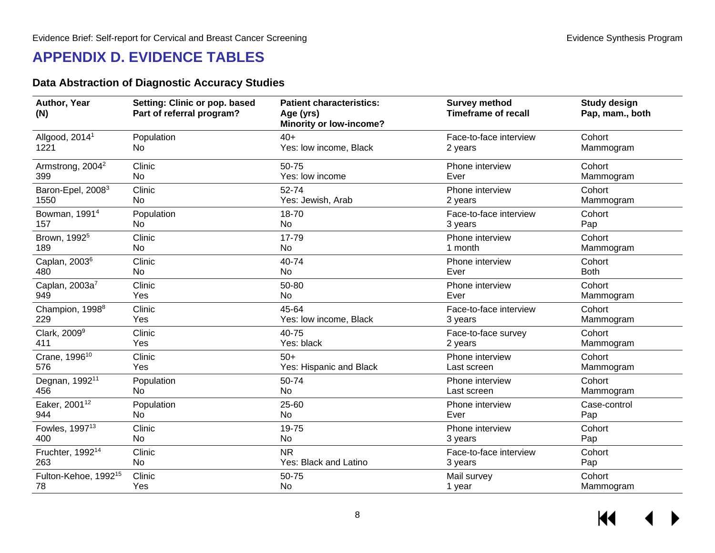# **APPENDIX D. EVIDENCE TABLES**

### **Data Abstraction of Diagnostic Accuracy Studies**

<span id="page-9-1"></span><span id="page-9-0"></span>

| Author, Year<br>(N)              | Setting: Clinic or pop. based<br>Part of referral program? | <b>Patient characteristics:</b><br>Age (yrs)<br><b>Minority or low-income?</b> | <b>Survey method</b><br><b>Timeframe of recall</b> | <b>Study design</b><br>Pap, mam., both |
|----------------------------------|------------------------------------------------------------|--------------------------------------------------------------------------------|----------------------------------------------------|----------------------------------------|
| Allgood, 2014 <sup>1</sup>       | Population                                                 | $40+$                                                                          | Face-to-face interview                             | Cohort                                 |
| 1221                             | No                                                         | Yes: low income, Black                                                         | 2 years                                            | Mammogram                              |
| Armstrong, 2004 <sup>2</sup>     | Clinic                                                     | 50-75                                                                          | Phone interview                                    | Cohort                                 |
| 399                              | No                                                         | Yes: low income                                                                | Ever                                               | Mammogram                              |
| Baron-Epel, 2008 <sup>3</sup>    | Clinic                                                     | 52-74                                                                          | Phone interview                                    | Cohort                                 |
| 1550                             | No                                                         | Yes: Jewish, Arab                                                              | 2 years                                            | Mammogram                              |
| Bowman, 1991 <sup>4</sup>        | Population                                                 | 18-70                                                                          | Face-to-face interview                             | Cohort                                 |
| 157                              | No                                                         | <b>No</b>                                                                      | 3 years                                            | Pap                                    |
| Brown, 1992 <sup>5</sup>         | Clinic                                                     | 17-79                                                                          | Phone interview                                    | Cohort                                 |
| 189                              | No                                                         | <b>No</b>                                                                      | 1 month                                            | Mammogram                              |
| Caplan, 2003 <sup>6</sup>        | Clinic                                                     | 40-74                                                                          | Phone interview                                    | Cohort                                 |
| 480                              | No                                                         | <b>No</b>                                                                      | Ever                                               | <b>Both</b>                            |
| Caplan, 2003a7                   | Clinic                                                     | 50-80                                                                          | Phone interview                                    | Cohort                                 |
| 949                              | Yes                                                        | <b>No</b>                                                                      | Ever                                               | Mammogram                              |
| Champion, 1998 <sup>8</sup>      | Clinic                                                     | 45-64                                                                          | Face-to-face interview                             | Cohort                                 |
| 229                              | Yes                                                        | Yes: low income, Black                                                         | 3 years                                            | Mammogram                              |
| Clark, 2009 <sup>9</sup>         | Clinic                                                     | 40-75                                                                          | Face-to-face survey                                | Cohort                                 |
| 411                              | Yes                                                        | Yes: black                                                                     | 2 years                                            | Mammogram                              |
| Crane, 1996 <sup>10</sup>        | Clinic                                                     | $50+$                                                                          | Phone interview                                    | Cohort                                 |
| 576                              | Yes                                                        | Yes: Hispanic and Black                                                        | Last screen                                        | Mammogram                              |
| Degnan, 1992 <sup>11</sup>       | Population                                                 | 50-74                                                                          | Phone interview                                    | Cohort                                 |
| 456                              | No.                                                        | <b>No</b>                                                                      | Last screen                                        | Mammogram                              |
| Eaker, 2001 <sup>12</sup>        | Population                                                 | 25-60                                                                          | Phone interview                                    | Case-control                           |
| 944                              | No                                                         | <b>No</b>                                                                      | Ever                                               | Pap                                    |
| Fowles, 1997 <sup>13</sup>       | Clinic                                                     | 19-75                                                                          | Phone interview                                    | Cohort                                 |
| 400                              | No                                                         | <b>No</b>                                                                      | 3 years                                            | Pap                                    |
| Fruchter, 1992 <sup>14</sup>     | Clinic                                                     | <b>NR</b>                                                                      | Face-to-face interview                             | Cohort                                 |
| 263                              | No                                                         | Yes: Black and Latino                                                          | 3 years                                            | Pap                                    |
| Fulton-Kehoe, 1992 <sup>15</sup> | Clinic                                                     | 50-75                                                                          | Mail survey                                        | Cohort                                 |
| 78                               | Yes                                                        | <b>No</b>                                                                      | 1 year                                             | Mammogram                              |

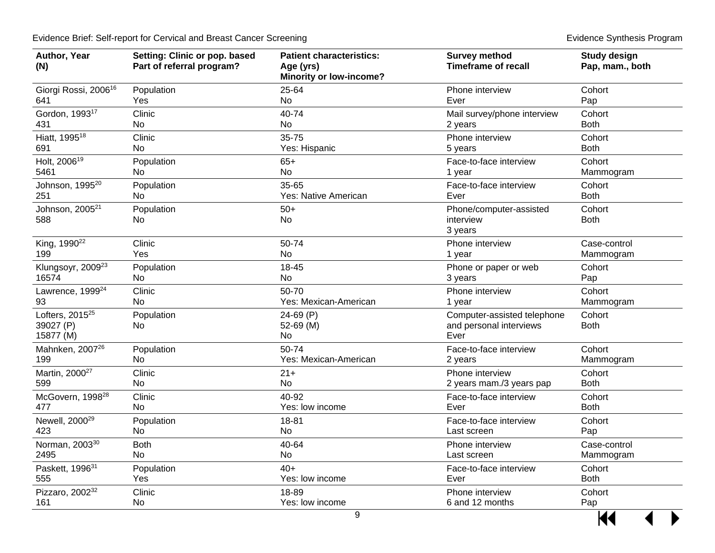| Author, Year<br>(N)                            | Setting: Clinic or pop. based<br>Part of referral program? | <b>Patient characteristics:</b><br>Age (yrs)<br><b>Minority or low-income?</b> | <b>Survey method</b><br><b>Timeframe of recall</b>             | <b>Study design</b><br>Pap, mam., both |
|------------------------------------------------|------------------------------------------------------------|--------------------------------------------------------------------------------|----------------------------------------------------------------|----------------------------------------|
| Giorgi Rossi, 2006 <sup>16</sup>               | Population                                                 | 25-64                                                                          | Phone interview                                                | Cohort                                 |
| 641                                            | Yes                                                        | No                                                                             | Ever                                                           | Pap                                    |
| Gordon, 1993 <sup>17</sup>                     | Clinic                                                     | 40-74                                                                          | Mail survey/phone interview                                    | Cohort                                 |
| 431                                            | No                                                         | No                                                                             | 2 years                                                        | <b>Both</b>                            |
| Hiatt, 1995 <sup>18</sup>                      | Clinic                                                     | 35-75                                                                          | Phone interview                                                | Cohort                                 |
| 691                                            | <b>No</b>                                                  | Yes: Hispanic                                                                  | 5 years                                                        | <b>Both</b>                            |
| Holt, 2006 <sup>19</sup>                       | Population                                                 | $65+$                                                                          | Face-to-face interview                                         | Cohort                                 |
| 5461                                           | No                                                         | No                                                                             | 1 year                                                         | Mammogram                              |
| Johnson, 1995 <sup>20</sup>                    | Population                                                 | 35-65                                                                          | Face-to-face interview                                         | Cohort                                 |
| 251                                            | No                                                         | Yes: Native American                                                           | Ever                                                           | <b>Both</b>                            |
| Johnson, 2005 <sup>21</sup><br>588             | Population<br>No                                           | $50+$<br>No                                                                    | Phone/computer-assisted<br>interview<br>3 years                | Cohort<br><b>Both</b>                  |
| King, 1990 <sup>22</sup>                       | Clinic                                                     | 50-74                                                                          | Phone interview                                                | Case-control                           |
| 199                                            | Yes                                                        | <b>No</b>                                                                      | 1 year                                                         | Mammogram                              |
| Klungsoyr, 2009 <sup>23</sup>                  | Population                                                 | 18-45                                                                          | Phone or paper or web                                          | Cohort                                 |
| 16574                                          | No                                                         | No                                                                             | 3 years                                                        | Pap                                    |
| Lawrence, 1999 <sup>24</sup>                   | Clinic                                                     | 50-70                                                                          | Phone interview                                                | Cohort                                 |
| 93                                             | No.                                                        | Yes: Mexican-American                                                          | 1 year                                                         | Mammogram                              |
| Lofters, $2015^{25}$<br>39027 (P)<br>15877 (M) | Population<br>No.                                          | 24-69 (P)<br>52-69 (M)<br>No                                                   | Computer-assisted telephone<br>and personal interviews<br>Ever | Cohort<br><b>Both</b>                  |
| Mahnken, 2007 <sup>26</sup>                    | Population                                                 | 50-74                                                                          | Face-to-face interview                                         | Cohort                                 |
| 199                                            | No.                                                        | Yes: Mexican-American                                                          | 2 years                                                        | Mammogram                              |
| Martin, 2000 <sup>27</sup>                     | Clinic                                                     | $21 +$                                                                         | Phone interview                                                | Cohort                                 |
| 599                                            | <b>No</b>                                                  | <b>No</b>                                                                      | 2 years mam./3 years pap                                       | <b>Both</b>                            |
| McGovern, 1998 <sup>28</sup>                   | Clinic                                                     | 40-92                                                                          | Face-to-face interview                                         | Cohort                                 |
| 477                                            | No.                                                        | Yes: low income                                                                | Ever                                                           | <b>Both</b>                            |
| Newell, 2000 <sup>29</sup>                     | Population                                                 | 18-81                                                                          | Face-to-face interview                                         | Cohort                                 |
| 423                                            | No                                                         | No                                                                             | Last screen                                                    | Pap                                    |
| Norman, 2003 <sup>30</sup>                     | <b>Both</b>                                                | 40-64                                                                          | Phone interview                                                | Case-control                           |
| 2495                                           | No                                                         | No                                                                             | Last screen                                                    | Mammogram                              |
| Paskett, 1996 <sup>31</sup>                    | Population                                                 | $40+$                                                                          | Face-to-face interview                                         | Cohort                                 |
| 555                                            | Yes                                                        | Yes: low income                                                                | Ever                                                           | <b>Both</b>                            |
| Pizzaro, 200232                                | Clinic                                                     | 18-89                                                                          | Phone interview                                                | Cohort                                 |
| 161                                            | No                                                         | Yes: low income                                                                | 6 and 12 months                                                | Pap                                    |
|                                                |                                                            |                                                                                |                                                                |                                        |

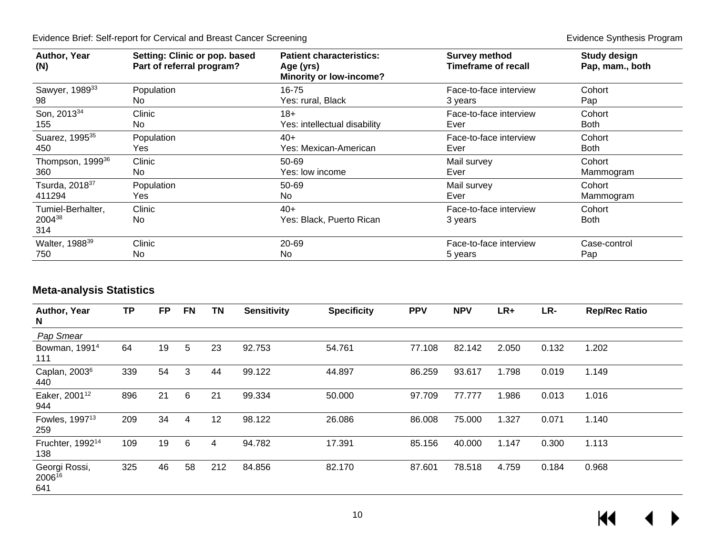| Author, Year<br>(N)          | Setting: Clinic or pop. based<br>Part of referral program? | <b>Patient characteristics:</b><br>Age (yrs)<br><b>Minority or low-income?</b> | <b>Survey method</b><br>Timeframe of recall | <b>Study design</b><br>Pap, mam., both |
|------------------------------|------------------------------------------------------------|--------------------------------------------------------------------------------|---------------------------------------------|----------------------------------------|
| Sawyer, 1989 <sup>33</sup>   | Population                                                 | 16-75                                                                          | Face-to-face interview                      | Cohort                                 |
| 98                           | No.                                                        | Yes: rural, Black                                                              | 3 years                                     | Pap                                    |
| Son, 2013 <sup>34</sup>      | Clinic                                                     | $18+$                                                                          | Face-to-face interview                      | Cohort                                 |
| 155                          | No.                                                        | Yes: intellectual disability                                                   | Ever                                        | <b>Both</b>                            |
| Suarez, 1995 <sup>35</sup>   | Population                                                 | $40+$                                                                          | Face-to-face interview                      | Cohort                                 |
| 450                          | Yes                                                        | Yes: Mexican-American                                                          | Ever                                        | <b>Both</b>                            |
| Thompson, 1999 <sup>36</sup> | Clinic                                                     | $50 - 69$                                                                      | Mail survey                                 | Cohort                                 |
| 360                          | No.                                                        | Yes: low income                                                                | Ever                                        | Mammogram                              |
| Tsurda, 2018 <sup>37</sup>   | Population                                                 | 50-69                                                                          | Mail survey                                 | Cohort                                 |
| 411294                       | Yes                                                        | No.                                                                            | Ever                                        | Mammogram                              |
| Tumiel-Berhalter,            | Clinic                                                     | $40+$                                                                          | Face-to-face interview                      | Cohort                                 |
| 200438                       | No.                                                        | Yes: Black, Puerto Rican                                                       | 3 years                                     | <b>Both</b>                            |
| 314                          |                                                            |                                                                                |                                             |                                        |
| Walter, 1988 <sup>39</sup>   | Clinic                                                     | 20-69                                                                          | Face-to-face interview                      | Case-control                           |
| 750                          | No                                                         | No                                                                             | 5 years                                     | Pap                                    |

### **Meta-analysis Statistics**

<span id="page-11-0"></span>

| Author, Year<br>N                   | <b>TP</b> | <b>FP</b> | <b>FN</b> | <b>TN</b> | <b>Sensitivity</b> | <b>Specificity</b> | <b>PPV</b> | <b>NPV</b> | LR+   | LR-   | <b>Rep/Rec Ratio</b> |
|-------------------------------------|-----------|-----------|-----------|-----------|--------------------|--------------------|------------|------------|-------|-------|----------------------|
| Pap Smear                           |           |           |           |           |                    |                    |            |            |       |       |                      |
| Bowman, 1991 <sup>4</sup><br>111    | 64        | 19        | 5         | 23        | 92.753             | 54.761             | 77.108     | 82.142     | 2.050 | 0.132 | 1.202                |
| Caplan, 2003 <sup>6</sup><br>440    | 339       | 54        | 3         | 44        | 99.122             | 44.897             | 86.259     | 93.617     | 1.798 | 0.019 | 1.149                |
| Eaker, 2001 <sup>12</sup><br>944    | 896       | 21        | 6         | 21        | 99.334             | 50.000             | 97.709     | 77.777     | 1.986 | 0.013 | 1.016                |
| Fowles, 1997 <sup>13</sup><br>259   | 209       | 34        | 4         | 12        | 98.122             | 26.086             | 86.008     | 75.000     | 1.327 | 0.071 | 1.140                |
| Fruchter, 1992 <sup>14</sup><br>138 | 109       | 19        | 6         | 4         | 94.782             | 17.391             | 85.156     | 40.000     | 1.147 | 0.300 | 1.113                |
| Georgi Rossi,<br>200616<br>641      | 325       | 46        | 58        | 212       | 84.856             | 82.170             | 87.601     | 78.518     | 4.759 | 0.184 | 0.968                |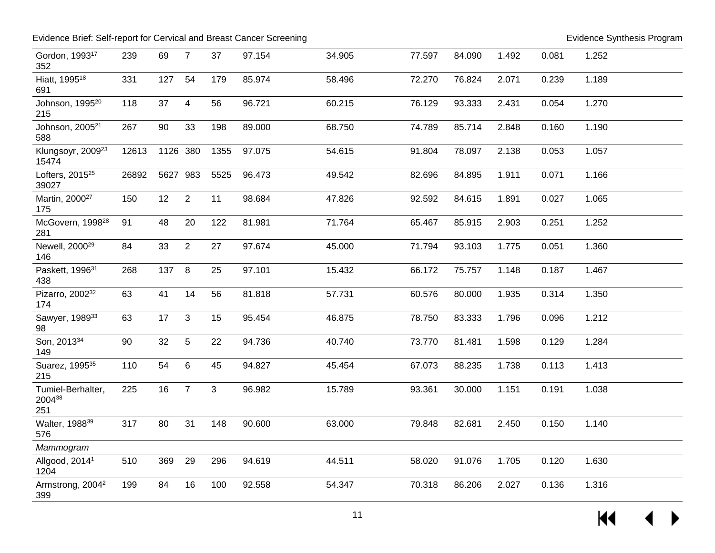| Gordon, 1993 <sup>17</sup><br>352      | 239   | 69       | $\overline{7}$   | 37   | 97.154 | 34.905 | 77.597 | 84.090 | 1.492 | 0.081 | 1.252 |
|----------------------------------------|-------|----------|------------------|------|--------|--------|--------|--------|-------|-------|-------|
| Hiatt, 1995 <sup>18</sup><br>691       | 331   | 127      | 54               | 179  | 85.974 | 58.496 | 72.270 | 76.824 | 2.071 | 0.239 | 1.189 |
| Johnson, 1995 <sup>20</sup><br>215     | 118   | 37       | $\overline{4}$   | 56   | 96.721 | 60.215 | 76.129 | 93.333 | 2.431 | 0.054 | 1.270 |
| Johnson, 2005 <sup>21</sup><br>588     | 267   | 90       | 33               | 198  | 89.000 | 68.750 | 74.789 | 85.714 | 2.848 | 0.160 | 1.190 |
| Klungsoyr, 2009 <sup>23</sup><br>15474 | 12613 | 1126 380 |                  | 1355 | 97.075 | 54.615 | 91.804 | 78.097 | 2.138 | 0.053 | 1.057 |
| Lofters, 2015 <sup>25</sup><br>39027   | 26892 | 5627 983 |                  | 5525 | 96.473 | 49.542 | 82.696 | 84.895 | 1.911 | 0.071 | 1.166 |
| Martin, 2000 <sup>27</sup><br>175      | 150   | 12       | $\overline{2}$   | 11   | 98.684 | 47.826 | 92.592 | 84.615 | 1.891 | 0.027 | 1.065 |
| McGovern, 1998 <sup>28</sup><br>281    | 91    | 48       | 20               | 122  | 81.981 | 71.764 | 65.467 | 85.915 | 2.903 | 0.251 | 1.252 |
| Newell, 2000 <sup>29</sup><br>146      | 84    | 33       | 2                | 27   | 97.674 | 45.000 | 71.794 | 93.103 | 1.775 | 0.051 | 1.360 |
| Paskett, 1996 <sup>31</sup><br>438     | 268   | 137      | $\boldsymbol{8}$ | 25   | 97.101 | 15.432 | 66.172 | 75.757 | 1.148 | 0.187 | 1.467 |
| Pizarro, 2002 <sup>32</sup><br>174     | 63    | 41       | 14               | 56   | 81.818 | 57.731 | 60.576 | 80.000 | 1.935 | 0.314 | 1.350 |
| Sawyer, 1989 <sup>33</sup><br>98       | 63    | 17       | 3                | 15   | 95.454 | 46.875 | 78.750 | 83.333 | 1.796 | 0.096 | 1.212 |
| Son, 2013 <sup>34</sup><br>149         | 90    | 32       | 5                | 22   | 94.736 | 40.740 | 73.770 | 81.481 | 1.598 | 0.129 | 1.284 |
| Suarez, 1995 <sup>35</sup><br>215      | 110   | 54       | 6                | 45   | 94.827 | 45.454 | 67.073 | 88.235 | 1.738 | 0.113 | 1.413 |
| Tumiel-Berhalter,<br>200438<br>251     | 225   | 16       | $\overline{7}$   | 3    | 96.982 | 15.789 | 93.361 | 30.000 | 1.151 | 0.191 | 1.038 |
| Walter, 1988 <sup>39</sup><br>576      | 317   | 80       | 31               | 148  | 90.600 | 63.000 | 79.848 | 82.681 | 2.450 | 0.150 | 1.140 |
| Mammogram                              |       |          |                  |      |        |        |        |        |       |       |       |
| Allgood, 2014 <sup>1</sup><br>1204     | 510   | 369      | 29               | 296  | 94.619 | 44.511 | 58.020 | 91.076 | 1.705 | 0.120 | 1.630 |
| Armstrong, 2004 <sup>2</sup><br>399    | 199   | 84       | 16               | 100  | 92.558 | 54.347 | 70.318 | 86.206 | 2.027 | 0.136 | 1.316 |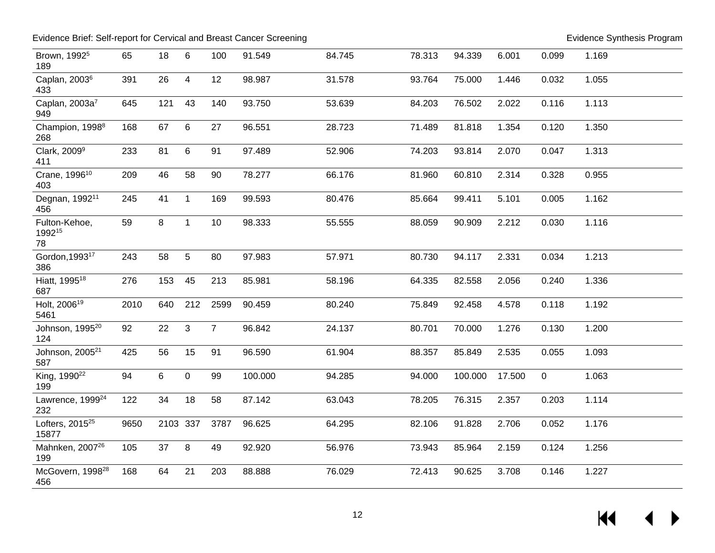| Brown, 1992 <sup>5</sup><br>189      | 65   | 18       | 6              | 100            | 91.549  | 84.745 | 78.313 | 94.339  | 6.001  | 0.099       | 1.169 |
|--------------------------------------|------|----------|----------------|----------------|---------|--------|--------|---------|--------|-------------|-------|
| Caplan, 2003 <sup>6</sup><br>433     | 391  | 26       | $\overline{4}$ | 12             | 98.987  | 31.578 | 93.764 | 75.000  | 1.446  | 0.032       | 1.055 |
| Caplan, 2003a <sup>7</sup><br>949    | 645  | 121      | 43             | 140            | 93.750  | 53.639 | 84.203 | 76.502  | 2.022  | 0.116       | 1.113 |
| Champion, 1998 <sup>8</sup><br>268   | 168  | 67       | 6              | 27             | 96.551  | 28.723 | 71.489 | 81.818  | 1.354  | 0.120       | 1.350 |
| Clark, 2009 <sup>9</sup><br>411      | 233  | 81       | 6              | 91             | 97.489  | 52.906 | 74.203 | 93.814  | 2.070  | 0.047       | 1.313 |
| Crane, 1996 <sup>10</sup><br>403     | 209  | 46       | 58             | 90             | 78.277  | 66.176 | 81.960 | 60.810  | 2.314  | 0.328       | 0.955 |
| Degnan, 1992 <sup>11</sup><br>456    | 245  | 41       | $\mathbf{1}$   | 169            | 99.593  | 80.476 | 85.664 | 99.411  | 5.101  | 0.005       | 1.162 |
| Fulton-Kehoe,<br>199215<br>78        | 59   | 8        | $\mathbf 1$    | 10             | 98.333  | 55.555 | 88.059 | 90.909  | 2.212  | 0.030       | 1.116 |
| Gordon, 1993 <sup>17</sup><br>386    | 243  | 58       | 5              | 80             | 97.983  | 57.971 | 80.730 | 94.117  | 2.331  | 0.034       | 1.213 |
| Hiatt, 1995 <sup>18</sup><br>687     | 276  | 153      | 45             | 213            | 85.981  | 58.196 | 64.335 | 82.558  | 2.056  | 0.240       | 1.336 |
| Holt, 2006 <sup>19</sup><br>5461     | 2010 | 640      | 212            | 2599           | 90.459  | 80.240 | 75.849 | 92.458  | 4.578  | 0.118       | 1.192 |
| Johnson, 1995 <sup>20</sup><br>124   | 92   | 22       | 3              | $\overline{7}$ | 96.842  | 24.137 | 80.701 | 70.000  | 1.276  | 0.130       | 1.200 |
| Johnson, 2005 <sup>21</sup><br>587   | 425  | 56       | 15             | 91             | 96.590  | 61.904 | 88.357 | 85.849  | 2.535  | 0.055       | 1.093 |
| King, 1990 <sup>22</sup><br>199      | 94   | 6        | $\mathbf 0$    | 99             | 100.000 | 94.285 | 94.000 | 100.000 | 17.500 | $\mathbf 0$ | 1.063 |
| Lawrence, 1999 <sup>24</sup><br>232  | 122  | 34       | 18             | 58             | 87.142  | 63.043 | 78.205 | 76.315  | 2.357  | 0.203       | 1.114 |
| Lofters, 2015 <sup>25</sup><br>15877 | 9650 | 2103 337 |                | 3787           | 96.625  | 64.295 | 82.106 | 91.828  | 2.706  | 0.052       | 1.176 |
| Mahnken, 2007 <sup>26</sup><br>199   | 105  | 37       | 8              | 49             | 92.920  | 56.976 | 73.943 | 85.964  | 2.159  | 0.124       | 1.256 |
| McGovern, 1998 <sup>28</sup><br>456  | 168  | 64       | 21             | 203            | 88.888  | 76.029 | 72.413 | 90.625  | 3.708  | 0.146       | 1.227 |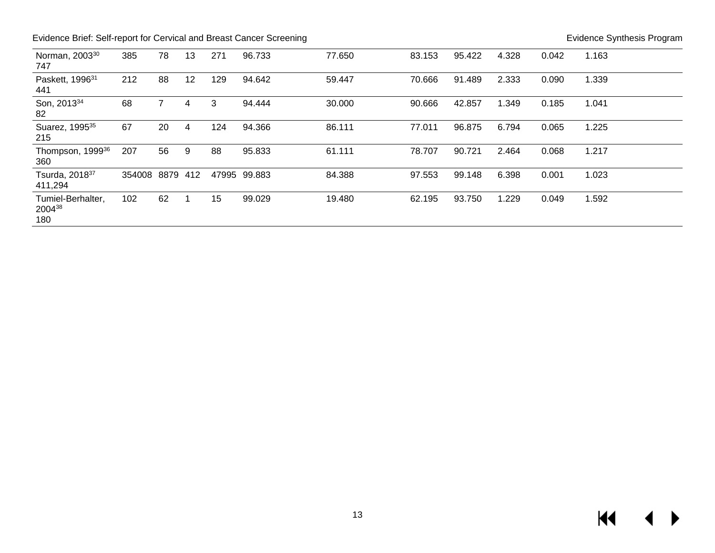| Norman, 2003 <sup>30</sup><br>747     | 385    | 78       | 13 | 271   | 96.733 | 77.650 | 83.153 | 95.422 | 4.328 | 0.042 | 1.163 |
|---------------------------------------|--------|----------|----|-------|--------|--------|--------|--------|-------|-------|-------|
| Paskett, 1996 <sup>31</sup><br>441    | 212    | 88       | 12 | 129   | 94.642 | 59.447 | 70.666 | 91.489 | 2.333 | 0.090 | 1.339 |
| Son, 2013 <sup>34</sup><br>82         | 68     |          | 4  | 3     | 94.444 | 30.000 | 90.666 | 42.857 | 1.349 | 0.185 | 1.041 |
| Suarez, 1995 <sup>35</sup><br>215     | 67     | 20       | 4  | 124   | 94.366 | 86.111 | 77.011 | 96.875 | 6.794 | 0.065 | 1.225 |
| Thompson, 1999 <sup>36</sup><br>360   | 207    | 56       | 9  | 88    | 95.833 | 61.111 | 78.707 | 90.721 | 2.464 | 0.068 | 1.217 |
| Tsurda, 2018 <sup>37</sup><br>411,294 | 354008 | 8879 412 |    | 47995 | 99.883 | 84.388 | 97.553 | 99.148 | 6.398 | 0.001 | 1.023 |
| Tumiel-Berhalter,<br>200438<br>180    | 102    | 62       |    | 15    | 99.029 | 19.480 | 62.195 | 93.750 | 1.229 | 0.049 | 1.592 |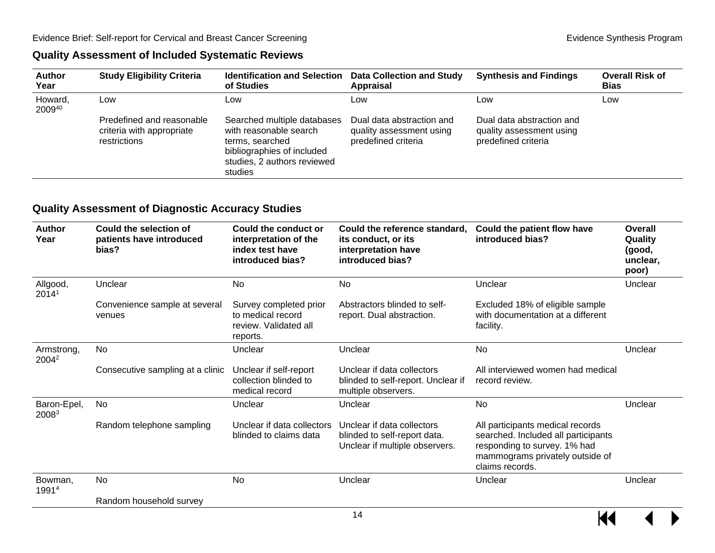#### **Quality Assessment of Included Systematic Reviews**

| <b>Author</b><br>Year | <b>Study Eligibility Criteria</b>                                      | <b>Identification and Selection</b><br>of Studies                                                                                                | <b>Data Collection and Study</b><br><b>Appraisal</b>                         | <b>Synthesis and Findings</b>                                                | <b>Overall Risk of</b><br><b>Bias</b> |
|-----------------------|------------------------------------------------------------------------|--------------------------------------------------------------------------------------------------------------------------------------------------|------------------------------------------------------------------------------|------------------------------------------------------------------------------|---------------------------------------|
| Howard,<br>200940     | Low                                                                    | Low                                                                                                                                              | Low                                                                          | Low                                                                          | Low                                   |
|                       | Predefined and reasonable<br>criteria with appropriate<br>restrictions | Searched multiple databases<br>with reasonable search<br>terms, searched<br>bibliographies of included<br>studies, 2 authors reviewed<br>studies | Dual data abstraction and<br>quality assessment using<br>predefined criteria | Dual data abstraction and<br>quality assessment using<br>predefined criteria |                                       |

#### <span id="page-15-0"></span>**Quality Assessment of Diagnostic Accuracy Studies**

<span id="page-15-1"></span>

| <b>Author</b><br>Year           | Could the selection of<br>patients have introduced<br>bias? | Could the conduct or<br>interpretation of the<br>index test have<br>introduced bias? | Could the reference standard,<br>its conduct, or its<br>interpretation have<br>introduced bias? | Could the patient flow have<br>introduced bias?                                                                                                               | Overall<br>Quality<br>(good,<br>unclear,<br>poor) |
|---------------------------------|-------------------------------------------------------------|--------------------------------------------------------------------------------------|-------------------------------------------------------------------------------------------------|---------------------------------------------------------------------------------------------------------------------------------------------------------------|---------------------------------------------------|
| Allgood,<br>20141               | Unclear                                                     | <b>No</b>                                                                            | <b>No</b>                                                                                       | Unclear                                                                                                                                                       | Unclear                                           |
|                                 | Convenience sample at several<br>venues                     | Survey completed prior<br>to medical record<br>review. Validated all<br>reports.     | Abstractors blinded to self-<br>report. Dual abstraction.                                       | Excluded 18% of eligible sample<br>with documentation at a different<br>facility.                                                                             |                                                   |
| Armstrong,<br>2004 <sup>2</sup> | <b>No</b>                                                   | Unclear                                                                              | Unclear                                                                                         | <b>No</b>                                                                                                                                                     | Unclear                                           |
|                                 | Consecutive sampling at a clinic                            | Unclear if self-report<br>collection blinded to<br>medical record                    | Unclear if data collectors<br>blinded to self-report. Unclear if<br>multiple observers.         | All interviewed women had medical<br>record review.                                                                                                           |                                                   |
| Baron-Epel,<br>20083            | <b>No</b>                                                   | Unclear                                                                              | Unclear                                                                                         | <b>No</b>                                                                                                                                                     | Unclear                                           |
|                                 | Random telephone sampling                                   | Unclear if data collectors<br>blinded to claims data                                 | Unclear if data collectors<br>blinded to self-report data.<br>Unclear if multiple observers.    | All participants medical records<br>searched. Included all participants<br>responding to survey. 1% had<br>mammograms privately outside of<br>claims records. |                                                   |
| Bowman,<br>1991 <sup>4</sup>    | No                                                          | No                                                                                   | Unclear                                                                                         | Unclear                                                                                                                                                       | Unclear                                           |
|                                 | Random household survey                                     |                                                                                      |                                                                                                 |                                                                                                                                                               |                                                   |

 $M \rightarrow$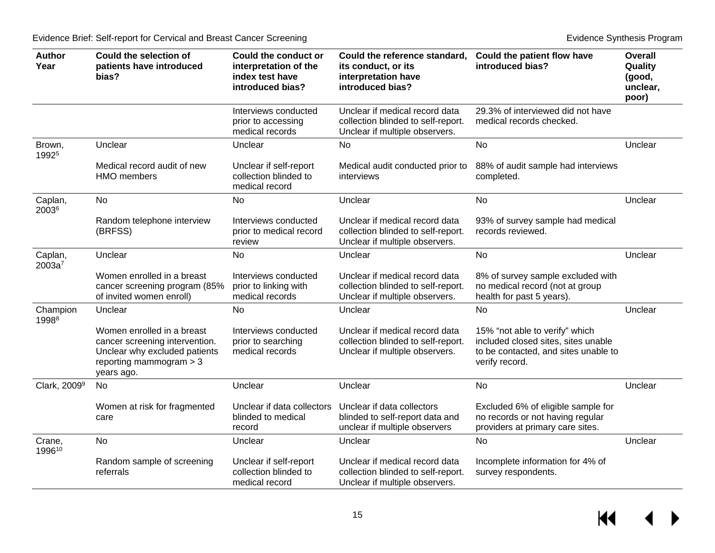| <b>Author</b><br>Year         | <b>Could the selection of</b><br>patients have introduced<br>bias?                                                                       | Could the conduct or<br>interpretation of the<br>index test have<br>introduced bias? | Could the reference standard,<br>its conduct, or its<br>interpretation have<br>introduced bias?        | Could the patient flow have<br>introduced bias?                                                                                 | <b>Overall</b><br>Quality<br>(good,<br>unclear,<br>poor) |
|-------------------------------|------------------------------------------------------------------------------------------------------------------------------------------|--------------------------------------------------------------------------------------|--------------------------------------------------------------------------------------------------------|---------------------------------------------------------------------------------------------------------------------------------|----------------------------------------------------------|
|                               |                                                                                                                                          | Interviews conducted<br>prior to accessing<br>medical records                        | Unclear if medical record data<br>collection blinded to self-report.<br>Unclear if multiple observers. | 29.3% of interviewed did not have<br>medical records checked.                                                                   |                                                          |
| Brown,<br>1992 <sup>5</sup>   | Unclear                                                                                                                                  | Unclear                                                                              | No                                                                                                     | No                                                                                                                              | Unclear                                                  |
|                               | Medical record audit of new<br>HMO members                                                                                               | Unclear if self-report<br>collection blinded to<br>medical record                    | Medical audit conducted prior to<br>interviews                                                         | 88% of audit sample had interviews<br>completed.                                                                                |                                                          |
| Caplan,<br>20036              | No                                                                                                                                       | No                                                                                   | Unclear                                                                                                | No                                                                                                                              | Unclear                                                  |
|                               | Random telephone interview<br>(BRFSS)                                                                                                    | Interviews conducted<br>prior to medical record<br>review                            | Unclear if medical record data<br>collection blinded to self-report.<br>Unclear if multiple observers. | 93% of survey sample had medical<br>records reviewed.                                                                           |                                                          |
| Caplan,<br>2003a <sup>7</sup> | Unclear                                                                                                                                  | <b>No</b>                                                                            | Unclear                                                                                                | <b>No</b>                                                                                                                       | Unclear                                                  |
|                               | Women enrolled in a breast<br>cancer screening program (85%<br>of invited women enroll)                                                  | Interviews conducted<br>prior to linking with<br>medical records                     | Unclear if medical record data<br>collection blinded to self-report.<br>Unclear if multiple observers. | 8% of survey sample excluded with<br>no medical record (not at group<br>health for past 5 years).                               |                                                          |
| Champion<br>1998 <sup>8</sup> | Unclear                                                                                                                                  | <b>No</b>                                                                            | Unclear                                                                                                | <b>No</b>                                                                                                                       | Unclear                                                  |
|                               | Women enrolled in a breast<br>cancer screening intervention.<br>Unclear why excluded patients<br>reporting mammogram $> 3$<br>years ago. | Interviews conducted<br>prior to searching<br>medical records                        | Unclear if medical record data<br>collection blinded to self-report.<br>Unclear if multiple observers. | 15% "not able to verify" which<br>included closed sites, sites unable<br>to be contacted, and sites unable to<br>verify record. |                                                          |
| Clark, 2009 <sup>9</sup>      | No                                                                                                                                       | Unclear                                                                              | Unclear                                                                                                | <b>No</b>                                                                                                                       | Unclear                                                  |
|                               | Women at risk for fragmented<br>care                                                                                                     | Unclear if data collectors<br>blinded to medical<br>record                           | Unclear if data collectors<br>blinded to self-report data and<br>unclear if multiple observers         | Excluded 6% of eligible sample for<br>no records or not having regular<br>providers at primary care sites.                      |                                                          |
| Crane,<br>199610              | <b>No</b>                                                                                                                                | Unclear                                                                              | Unclear                                                                                                | <b>No</b>                                                                                                                       | Unclear                                                  |
|                               | Random sample of screening<br>referrals                                                                                                  | Unclear if self-report<br>collection blinded to<br>medical record                    | Unclear if medical record data<br>collection blinded to self-report.<br>Unclear if multiple observers. | Incomplete information for 4% of<br>survey respondents.                                                                         |                                                          |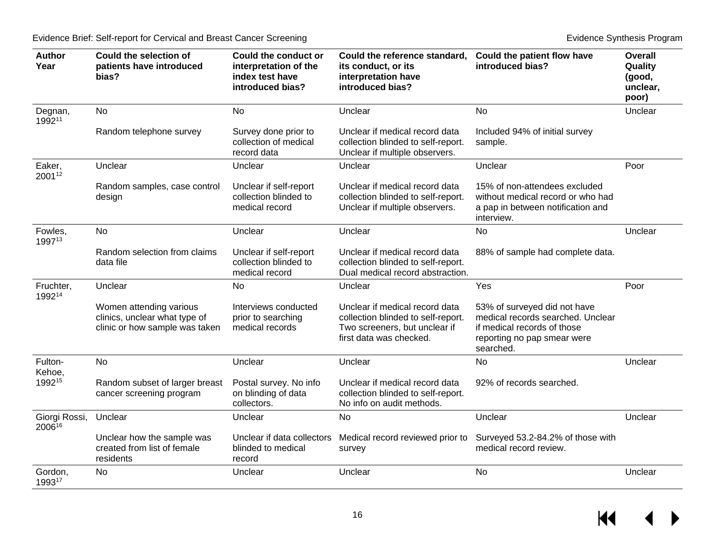| <b>Author</b><br>Year   | Could the selection of<br>patients have introduced<br>bias?                                | <b>Could the conduct or</b><br>interpretation of the<br>index test have<br>introduced bias? | Could the reference standard,<br>its conduct, or its<br>interpretation have<br>introduced bias?                                  | Could the patient flow have<br>introduced bias?                                                                                              | <b>Overall</b><br>Quality<br>(good,<br>unclear,<br>poor) |
|-------------------------|--------------------------------------------------------------------------------------------|---------------------------------------------------------------------------------------------|----------------------------------------------------------------------------------------------------------------------------------|----------------------------------------------------------------------------------------------------------------------------------------------|----------------------------------------------------------|
| Degnan,<br>199211       | <b>No</b>                                                                                  | No                                                                                          | Unclear                                                                                                                          | <b>No</b>                                                                                                                                    | Unclear                                                  |
|                         | Random telephone survey                                                                    | Survey done prior to<br>collection of medical<br>record data                                | Unclear if medical record data<br>collection blinded to self-report.<br>Unclear if multiple observers.                           | Included 94% of initial survey<br>sample.                                                                                                    |                                                          |
| Eaker,<br>200112        | Unclear                                                                                    | Unclear                                                                                     | Unclear                                                                                                                          | Unclear                                                                                                                                      | Poor                                                     |
|                         | Random samples, case control<br>design                                                     | Unclear if self-report<br>collection blinded to<br>medical record                           | Unclear if medical record data<br>collection blinded to self-report.<br>Unclear if multiple observers.                           | 15% of non-attendees excluded<br>without medical record or who had<br>a pap in between notification and<br>interview.                        |                                                          |
| Fowles,<br>199713       | <b>No</b>                                                                                  | Unclear                                                                                     | Unclear                                                                                                                          | <b>No</b>                                                                                                                                    | Unclear                                                  |
|                         | Random selection from claims<br>data file                                                  | Unclear if self-report<br>collection blinded to<br>medical record                           | Unclear if medical record data<br>collection blinded to self-report.<br>Dual medical record abstraction.                         | 88% of sample had complete data.                                                                                                             |                                                          |
| Fruchter,<br>199214     | Unclear                                                                                    | <b>No</b>                                                                                   | Unclear                                                                                                                          | Yes                                                                                                                                          | Poor                                                     |
|                         | Women attending various<br>clinics, unclear what type of<br>clinic or how sample was taken | Interviews conducted<br>prior to searching<br>medical records                               | Unclear if medical record data<br>collection blinded to self-report.<br>Two screeners, but unclear if<br>first data was checked. | 53% of surveyed did not have<br>medical records searched. Unclear<br>if medical records of those<br>reporting no pap smear were<br>searched. |                                                          |
| Fulton-<br>Kehoe,       | <b>No</b>                                                                                  | Unclear                                                                                     | Unclear                                                                                                                          | <b>No</b>                                                                                                                                    | Unclear                                                  |
| 199215                  | Random subset of larger breast<br>cancer screening program                                 | Postal survey. No info<br>on blinding of data<br>collectors.                                | Unclear if medical record data<br>collection blinded to self-report.<br>No info on audit methods.                                | 92% of records searched.                                                                                                                     |                                                          |
| Giorgi Rossi,<br>200616 | Unclear                                                                                    | Unclear                                                                                     | <b>No</b>                                                                                                                        | Unclear                                                                                                                                      | Unclear                                                  |
|                         | Unclear how the sample was<br>created from list of female<br>residents                     | Unclear if data collectors<br>blinded to medical<br>record                                  | Medical record reviewed prior to<br>survey                                                                                       | Surveyed 53.2-84.2% of those with<br>medical record review.                                                                                  |                                                          |
| Gordon,<br>199317       | <b>No</b>                                                                                  | Unclear                                                                                     | Unclear                                                                                                                          | <b>No</b>                                                                                                                                    | Unclear                                                  |

 $M \leftarrow \leftarrow$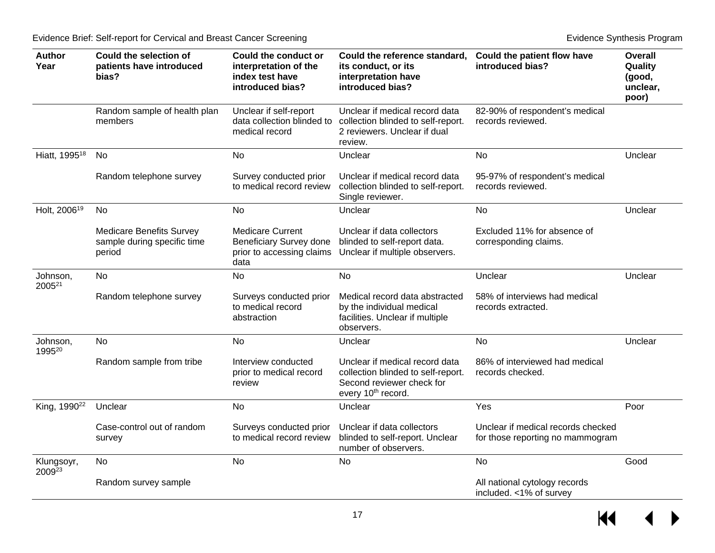| <b>Author</b><br>Year          | Could the selection of<br>patients have introduced<br>bias?              | <b>Could the conduct or</b><br>interpretation of the<br>index test have<br>introduced bias?    | Could the reference standard,<br>its conduct, or its<br>interpretation have<br>introduced bias?                                     | Could the patient flow have<br>introduced bias?                        | <b>Overall</b><br>Quality<br>(good,<br>unclear,<br>poor) |
|--------------------------------|--------------------------------------------------------------------------|------------------------------------------------------------------------------------------------|-------------------------------------------------------------------------------------------------------------------------------------|------------------------------------------------------------------------|----------------------------------------------------------|
|                                | Random sample of health plan<br>members                                  | Unclear if self-report<br>data collection blinded to<br>medical record                         | Unclear if medical record data<br>collection blinded to self-report.<br>2 reviewers. Unclear if dual<br>review.                     | 82-90% of respondent's medical<br>records reviewed.                    |                                                          |
| Hiatt, 1995 <sup>18</sup>      | No                                                                       | <b>No</b>                                                                                      | Unclear                                                                                                                             | No                                                                     | Unclear                                                  |
|                                | Random telephone survey                                                  | Survey conducted prior<br>to medical record review                                             | Unclear if medical record data<br>collection blinded to self-report.<br>Single reviewer.                                            | 95-97% of respondent's medical<br>records reviewed.                    |                                                          |
| Holt, 2006 <sup>19</sup>       | <b>No</b>                                                                | <b>No</b>                                                                                      | Unclear                                                                                                                             | <b>No</b>                                                              | Unclear                                                  |
|                                | <b>Medicare Benefits Survey</b><br>sample during specific time<br>period | <b>Medicare Current</b><br><b>Beneficiary Survey done</b><br>prior to accessing claims<br>data | Unclear if data collectors<br>blinded to self-report data.<br>Unclear if multiple observers.                                        | Excluded 11% for absence of<br>corresponding claims.                   |                                                          |
| Johnson,<br>2005 <sup>21</sup> | <b>No</b>                                                                | <b>No</b>                                                                                      | <b>No</b>                                                                                                                           | Unclear                                                                | Unclear                                                  |
|                                | Random telephone survey                                                  | Surveys conducted prior<br>to medical record<br>abstraction                                    | Medical record data abstracted<br>by the individual medical<br>facilities. Unclear if multiple<br>observers.                        | 58% of interviews had medical<br>records extracted.                    |                                                          |
| Johnson,<br>199520             | <b>No</b>                                                                | <b>No</b>                                                                                      | Unclear                                                                                                                             | <b>No</b>                                                              | Unclear                                                  |
|                                | Random sample from tribe                                                 | Interview conducted<br>prior to medical record<br>review                                       | Unclear if medical record data<br>collection blinded to self-report.<br>Second reviewer check for<br>every 10 <sup>th</sup> record. | 86% of interviewed had medical<br>records checked.                     |                                                          |
| King, 1990 <sup>22</sup>       | Unclear                                                                  | <b>No</b>                                                                                      | Unclear                                                                                                                             | Yes                                                                    | Poor                                                     |
|                                | Case-control out of random<br>survey                                     | Surveys conducted prior<br>to medical record review                                            | Unclear if data collectors<br>blinded to self-report. Unclear<br>number of observers.                                               | Unclear if medical records checked<br>for those reporting no mammogram |                                                          |
| Klungsoyr,<br>200923           | <b>No</b>                                                                | <b>No</b>                                                                                      | <b>No</b>                                                                                                                           | <b>No</b>                                                              | Good                                                     |
|                                | Random survey sample                                                     |                                                                                                |                                                                                                                                     | All national cytology records<br>included. <1% of survey               |                                                          |

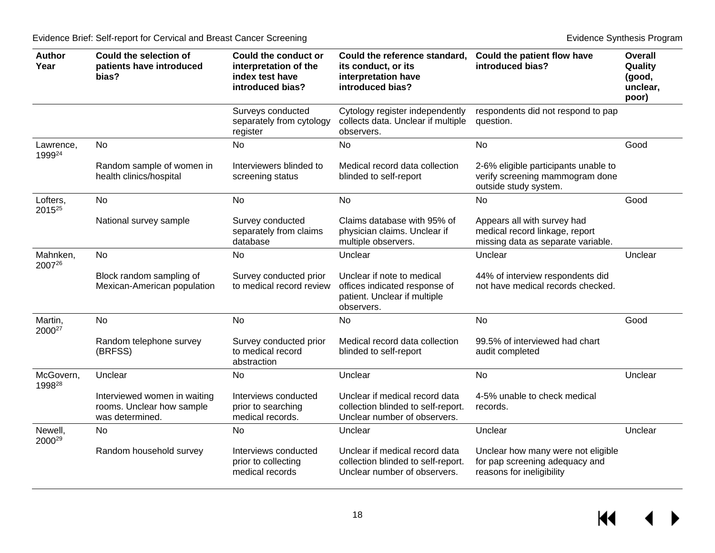| <b>Author</b><br>Year          | <b>Could the selection of</b><br>patients have introduced<br>bias?           | Could the conduct or<br>interpretation of the<br>index test have<br>introduced bias? | Could the reference standard,<br>its conduct, or its<br>interpretation have<br>introduced bias?           | Could the patient flow have<br>introduced bias?                                                     | <b>Overall</b><br>Quality<br>(good,<br>unclear,<br>poor) |
|--------------------------------|------------------------------------------------------------------------------|--------------------------------------------------------------------------------------|-----------------------------------------------------------------------------------------------------------|-----------------------------------------------------------------------------------------------------|----------------------------------------------------------|
|                                |                                                                              | Surveys conducted<br>separately from cytology<br>register                            | Cytology register independently<br>collects data. Unclear if multiple<br>observers.                       | respondents did not respond to pap<br>question.                                                     |                                                          |
| Lawrence,<br>199924            | <b>No</b>                                                                    | <b>No</b>                                                                            | <b>No</b>                                                                                                 | <b>No</b>                                                                                           | Good                                                     |
|                                | Random sample of women in<br>health clinics/hospital                         | Interviewers blinded to<br>screening status                                          | Medical record data collection<br>blinded to self-report                                                  | 2-6% eligible participants unable to<br>verify screening mammogram done<br>outside study system.    |                                                          |
| Lofters,<br>2015 <sup>25</sup> | <b>No</b>                                                                    | No                                                                                   | <b>No</b>                                                                                                 | <b>No</b>                                                                                           | Good                                                     |
|                                | National survey sample                                                       | Survey conducted<br>separately from claims<br>database                               | Claims database with 95% of<br>physician claims. Unclear if<br>multiple observers.                        | Appears all with survey had<br>medical record linkage, report<br>missing data as separate variable. |                                                          |
| Mahnken,<br>200726             | No                                                                           | No.                                                                                  | Unclear                                                                                                   | Unclear                                                                                             | Unclear                                                  |
|                                | Block random sampling of<br>Mexican-American population                      | Survey conducted prior<br>to medical record review                                   | Unclear if note to medical<br>offices indicated response of<br>patient. Unclear if multiple<br>observers. | 44% of interview respondents did<br>not have medical records checked.                               |                                                          |
| Martin,<br>2000 <sup>27</sup>  | <b>No</b>                                                                    | <b>No</b>                                                                            | <b>No</b>                                                                                                 | <b>No</b>                                                                                           | Good                                                     |
|                                | Random telephone survey<br>(BRFSS)                                           | Survey conducted prior<br>to medical record<br>abstraction                           | Medical record data collection<br>blinded to self-report                                                  | 99.5% of interviewed had chart<br>audit completed                                                   |                                                          |
| McGovern,<br>199828            | Unclear                                                                      | No                                                                                   | Unclear                                                                                                   | No                                                                                                  | Unclear                                                  |
|                                | Interviewed women in waiting<br>rooms. Unclear how sample<br>was determined. | Interviews conducted<br>prior to searching<br>medical records.                       | Unclear if medical record data<br>collection blinded to self-report.<br>Unclear number of observers.      | 4-5% unable to check medical<br>records.                                                            |                                                          |
| Newell,<br>2000 <sup>29</sup>  | No                                                                           | No                                                                                   | Unclear                                                                                                   | Unclear                                                                                             | Unclear                                                  |
|                                | Random household survey                                                      | Interviews conducted<br>prior to collecting<br>medical records                       | Unclear if medical record data<br>collection blinded to self-report.<br>Unclear number of observers.      | Unclear how many were not eligible<br>for pap screening adequacy and<br>reasons for ineligibility   |                                                          |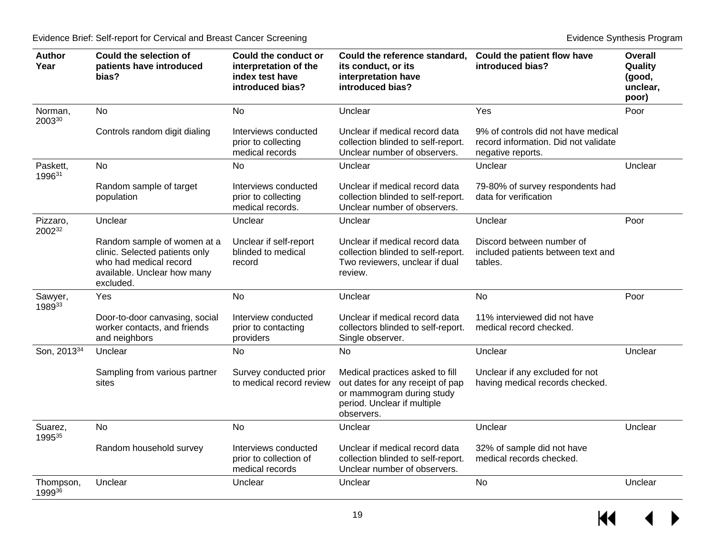| <b>Author</b><br>Year   | <b>Could the selection of</b><br>patients have introduced<br>bias?                                                                  | <b>Could the conduct or</b><br>interpretation of the<br>index test have<br>introduced bias? | Could the reference standard,<br>its conduct, or its<br>interpretation have<br>introduced bias?                                               | Could the patient flow have<br>introduced bias?                                                  | <b>Overall</b><br>Quality<br>(good,<br>unclear,<br>poor) |
|-------------------------|-------------------------------------------------------------------------------------------------------------------------------------|---------------------------------------------------------------------------------------------|-----------------------------------------------------------------------------------------------------------------------------------------------|--------------------------------------------------------------------------------------------------|----------------------------------------------------------|
| Norman,<br>200330       | <b>No</b>                                                                                                                           | <b>No</b>                                                                                   | Unclear                                                                                                                                       | Yes                                                                                              | Poor                                                     |
|                         | Controls random digit dialing                                                                                                       | Interviews conducted<br>prior to collecting<br>medical records                              | Unclear if medical record data<br>collection blinded to self-report.<br>Unclear number of observers.                                          | 9% of controls did not have medical<br>record information. Did not validate<br>negative reports. |                                                          |
| Paskett,<br>199631      | <b>No</b>                                                                                                                           | <b>No</b>                                                                                   | Unclear                                                                                                                                       | Unclear                                                                                          | Unclear                                                  |
|                         | Random sample of target<br>population                                                                                               | Interviews conducted<br>prior to collecting<br>medical records.                             | Unclear if medical record data<br>collection blinded to self-report.<br>Unclear number of observers.                                          | 79-80% of survey respondents had<br>data for verification                                        |                                                          |
| Pizzaro,<br>200232      | Unclear                                                                                                                             | Unclear                                                                                     | Unclear                                                                                                                                       | Unclear                                                                                          | Poor                                                     |
|                         | Random sample of women at a<br>clinic. Selected patients only<br>who had medical record<br>available. Unclear how many<br>excluded. | Unclear if self-report<br>blinded to medical<br>record                                      | Unclear if medical record data<br>collection blinded to self-report.<br>Two reviewers, unclear if dual<br>review.                             | Discord between number of<br>included patients between text and<br>tables.                       |                                                          |
| Sawyer,<br>198933       | Yes                                                                                                                                 | No                                                                                          | Unclear                                                                                                                                       | No                                                                                               | Poor                                                     |
|                         | Door-to-door canvasing, social<br>worker contacts, and friends<br>and neighbors                                                     | Interview conducted<br>prior to contacting<br>providers                                     | Unclear if medical record data<br>collectors blinded to self-report.<br>Single observer.                                                      | 11% interviewed did not have<br>medical record checked.                                          |                                                          |
| Son, 2013 <sup>34</sup> | Unclear                                                                                                                             | <b>No</b>                                                                                   | <b>No</b>                                                                                                                                     | Unclear                                                                                          | Unclear                                                  |
|                         | Sampling from various partner<br>sites                                                                                              | Survey conducted prior<br>to medical record review                                          | Medical practices asked to fill<br>out dates for any receipt of pap<br>or mammogram during study<br>period. Unclear if multiple<br>observers. | Unclear if any excluded for not<br>having medical records checked.                               |                                                          |
| Suarez,<br>199535       | <b>No</b>                                                                                                                           | <b>No</b>                                                                                   | Unclear                                                                                                                                       | Unclear                                                                                          | Unclear                                                  |
|                         | Random household survey                                                                                                             | Interviews conducted<br>prior to collection of<br>medical records                           | Unclear if medical record data<br>collection blinded to self-report.<br>Unclear number of observers.                                          | 32% of sample did not have<br>medical records checked.                                           |                                                          |
| Thompson,<br>199936     | Unclear                                                                                                                             | Unclear                                                                                     | Unclear                                                                                                                                       | No                                                                                               | Unclear                                                  |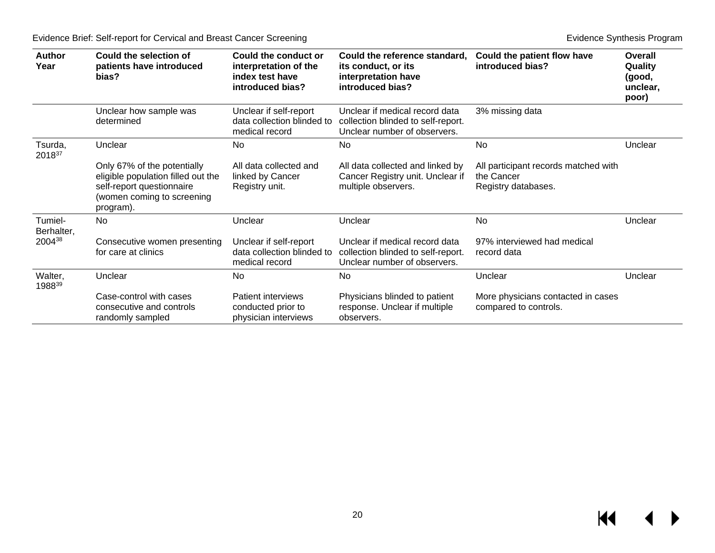| <b>Author</b><br>Year | Could the selection of<br>patients have introduced<br>bias?                                                                               | Could the conduct or<br>interpretation of the<br>index test have<br>introduced bias? | Could the reference standard,<br>its conduct, or its<br>interpretation have<br>introduced bias?      | Could the patient flow have<br>introduced bias?                           | Overall<br>Quality<br>(good,<br>unclear,<br>poor) |
|-----------------------|-------------------------------------------------------------------------------------------------------------------------------------------|--------------------------------------------------------------------------------------|------------------------------------------------------------------------------------------------------|---------------------------------------------------------------------------|---------------------------------------------------|
|                       | Unclear how sample was<br>determined                                                                                                      | Unclear if self-report<br>data collection blinded to<br>medical record               | Unclear if medical record data<br>collection blinded to self-report.<br>Unclear number of observers. | 3% missing data                                                           |                                                   |
| Tsurda,<br>201837     | Unclear                                                                                                                                   | No.                                                                                  | No.                                                                                                  | No                                                                        | Unclear                                           |
|                       | Only 67% of the potentially<br>eligible population filled out the<br>self-report questionnaire<br>(women coming to screening<br>program). | All data collected and<br>linked by Cancer<br>Registry unit.                         | All data collected and linked by<br>Cancer Registry unit. Unclear if<br>multiple observers.          | All participant records matched with<br>the Cancer<br>Registry databases. |                                                   |
| Tumiel-<br>Berhalter, | <b>No</b>                                                                                                                                 | Unclear                                                                              | Unclear                                                                                              | <b>No</b>                                                                 | Unclear                                           |
| 200438                | Consecutive women presenting<br>for care at clinics                                                                                       | Unclear if self-report<br>data collection blinded to<br>medical record               | Unclear if medical record data<br>collection blinded to self-report.<br>Unclear number of observers. | 97% interviewed had medical<br>record data                                |                                                   |
| Walter,<br>198839     | Unclear                                                                                                                                   | No                                                                                   | No.                                                                                                  | Unclear                                                                   | Unclear                                           |
|                       | Case-control with cases<br>consecutive and controls<br>randomly sampled                                                                   | Patient interviews<br>conducted prior to<br>physician interviews                     | Physicians blinded to patient<br>response. Unclear if multiple<br>observers.                         | More physicians contacted in cases<br>compared to controls.               |                                                   |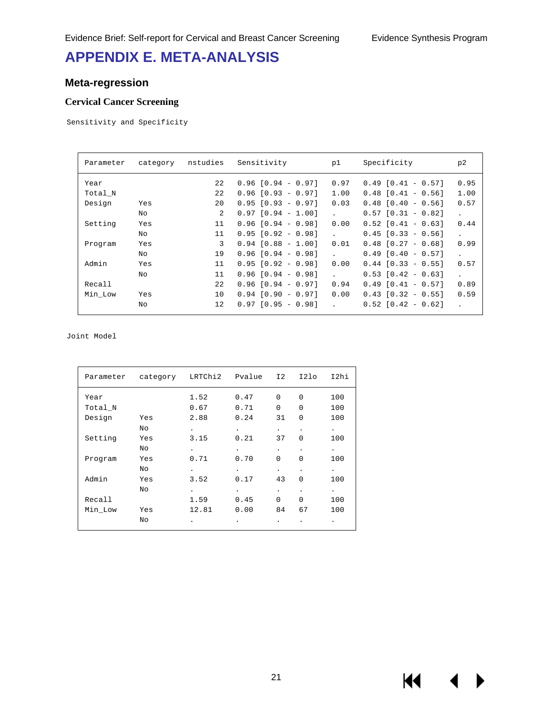# <span id="page-22-0"></span>**APPENDIX E. META-ANALYSIS**

#### <span id="page-22-1"></span>**Meta-regression**

#### **Cervical Cancer Screening**

Sensitivity and Specificity

| Parameter | category | nstudies | Sensitivity            | p1           | Specificity            | p2                         |
|-----------|----------|----------|------------------------|--------------|------------------------|----------------------------|
| Year      |          | 22       | $0.96$ $[0.94 - 0.97]$ | 0.97         | $0.49$ $[0.41 - 0.57]$ | 0.95                       |
| Total N   |          | 22       | $0.96$ $[0.93 - 0.97]$ | 1.00         | $0.48$ $[0.41 - 0.56]$ | 1.00                       |
| Design    | Yes      | 20       | $0.95$ $[0.93 - 0.97]$ | 0.03         | $0.48$ $[0.40 - 0.56]$ | 0.57                       |
|           | No       | 2        | $0.97$ $[0.94 - 1.00]$ | $\mathbf{L}$ | $0.57$ $[0.31 - 0.82]$ | $\mathbf{r}$               |
| Setting   | Yes      | 11       | $0.96$ $[0.94 - 0.98]$ | 0.00         | $0.52$ $[0.41 - 0.63]$ | 0.44                       |
|           | No       | 11       | $0.95$ $[0.92 - 0.98]$ | $\mathbf{L}$ | $0.45$ $[0.33 - 0.56]$ |                            |
| Program   | Yes      | 3        | $0.94$ $[0.88 - 1.00]$ | 0.01         | $0.48$ $[0.27 - 0.68]$ | 0.99                       |
|           | No       | 19       | $0.96$ $[0.94 - 0.98]$ | $\mathbf{L}$ | $0.49$ $[0.40 - 0.57]$ | $\mathcal{L}^{\text{max}}$ |
| Admin     | Yes      | 11       | $0.95$ $[0.92 - 0.98]$ | 0.00         | $0.44$ $[0.33 - 0.55]$ | 0.57                       |
|           | No       | 11       | $0.96$ $[0.94 - 0.98]$ | $\mathbf{L}$ | $0.53$ $[0.42 - 0.63]$ |                            |
| Recall    |          | 22       | $0.96$ $[0.94 - 0.97]$ | 0.94         | $0.49$ $[0.41 - 0.57]$ | 0.89                       |
| Min Low   | Yes      | 10       | $0.94$ $[0.90 - 0.97]$ | 0.00         | $0.43$ $[0.32 - 0.55]$ | 0.59                       |
|           | Νo       | 12       | $0.97$ $[0.95 - 0.98]$ | $\mathbf{L}$ | $0.52$ $[0.42 - 0.62]$ |                            |

Joint Model

|         | Parameter category LRTChi2 Pvalue I2 |                      |                      |                      | I21o      | I2hi                 |
|---------|--------------------------------------|----------------------|----------------------|----------------------|-----------|----------------------|
| Year    |                                      | 1.52                 | 0.47                 | $\Omega$             | $\Omega$  | 100                  |
| Total_N |                                      | 0.67                 | 0.71                 | $\Omega$             | $\Omega$  | 100                  |
| Design  | Yes                                  | 2.88                 | 0.24                 | 31                   | $\Omega$  | 100                  |
|         | No                                   | $\ddot{\phantom{0}}$ | $\ddot{\phantom{0}}$ | $\ddot{\phantom{0}}$ | $\bullet$ | $\bullet$ .          |
| Setting | Yes                                  | 3.15                 | 0.21                 | 37                   | $\Omega$  | 100                  |
|         | No.                                  | $\ddot{\phantom{0}}$ | $\ddot{\phantom{0}}$ | $\ddot{\phantom{0}}$ |           | $\bullet$            |
| Program | Yes                                  | 0.71                 | 0.70                 | $\Omega$             | $\Omega$  | 100                  |
|         | No                                   | $\ddot{\phantom{0}}$ |                      | $\ddot{\phantom{0}}$ | $\bullet$ | $\ddot{\phantom{0}}$ |
| Admin   | Yes                                  | 3.52                 | 0.17                 | 43                   | $\Omega$  | 100                  |
|         | No.                                  | $\ddot{\phantom{0}}$ | $\ddot{\phantom{0}}$ | $\ddot{\phantom{0}}$ | ٠         | $\bullet$            |
| Recall  |                                      | 1.59                 | 0.45                 | $\Omega$             | $\Omega$  | 100                  |
| Min Low | Yes                                  | 12.81                | 0.00                 | 84                   | 67        | 100                  |
|         | No                                   | ٠                    |                      |                      |           | ٠                    |
|         |                                      |                      |                      |                      |           |                      |

К€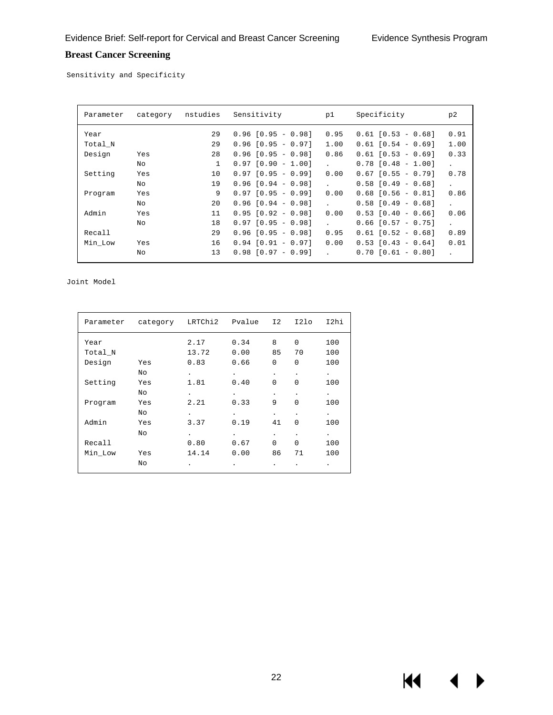#### **Breast Cancer Screening**

Sensitivity and Specificity

| Parameter | category | nstudies     | Sensitivity             | p1                         | Specificity            | p2                         |
|-----------|----------|--------------|-------------------------|----------------------------|------------------------|----------------------------|
| Year      |          | 29           | $0.96$ $[0.95 - 0.98]$  | 0.95                       | $0.61$ $[0.53 - 0.68]$ | 0.91                       |
| Total N   |          | 29           | $0.96$ $[0.95 - 0.97]$  | 1.00                       | $0.61$ $[0.54 - 0.69]$ | 1.00                       |
| Design    | Yes      | 28           | $0.96$ $[0.95 - 0.98]$  | 0.86                       | $0.61$ $[0.53 - 0.69]$ | 0.33                       |
|           | No       | $\mathbf{1}$ | $[0.90 - 1.00]$<br>0.97 |                            | $0.78$ $[0.48 - 1.00]$ | $\mathcal{L}^{\text{max}}$ |
| Setting   | Yes      | 10           | $0.97$ $[0.95 - 0.99]$  | 0.00                       | $0.67$ $[0.55 - 0.79]$ | 0.78                       |
|           | No       | 19           | $0.96$ $[0.94 - 0.98]$  | $\mathbf{L}$               | $0.58$ $[0.49 - 0.68]$ | $\mathbf{r}$               |
| Program   | Yes      | 9            | $0.97$ $[0.95 - 0.99]$  | 0.00                       | $0.68$ $[0.56 - 0.81]$ | 0.86                       |
|           | No.      | 20           | $0.96$ $[0.94 - 0.98]$  | $\mathcal{L}^{\text{max}}$ | $0.58$ $[0.49 - 0.68]$ | $\mathbf{L}$               |
| Admin     | Yes      | 11           | $0.95$ $[0.92 - 0.98]$  | 0.00                       | $0.53$ $[0.40 - 0.66]$ | 0.06                       |
|           | No       | 18           | $0.97$ $[0.95 - 0.98]$  |                            | $0.66$ $[0.57 - 0.75]$ | $\mathcal{L}^{\text{max}}$ |
| Recall    |          | 29           | $0.96$ $[0.95 - 0.98]$  | 0.95                       | $0.61$ $[0.52 - 0.68]$ | 0.89                       |
| Min Low   | Yes      | 16           | $0.94$ $[0.91 - 0.97]$  | 0.00                       | $0.53$ $[0.43 - 0.64]$ | 0.01                       |
|           | No       | 13           | $0.98$ $[0.97 - 0.99]$  | $\mathbf{L}$               | $0.70$ $[0.61 - 0.80]$ | $\mathbf{r}$               |

Joint Model

<span id="page-23-0"></span>

|         |     |       |      |                      |                                   | I2hi                 |
|---------|-----|-------|------|----------------------|-----------------------------------|----------------------|
| Year    |     | 2.17  | 0.34 | 8                    | 0                                 | 100                  |
| Total_N |     | 13.72 | 0.00 | 85                   | 70                                | 100                  |
| Design  | Yes | 0.83  | 0.66 | $\Omega$             | $\Omega$                          | 100                  |
|         | No  |       |      | $\bullet$            | $\bullet$                         | $\bullet$            |
| Setting | Yes | 1.81  | 0.40 | $\Omega$             | $\Omega$                          | 100                  |
|         | No  |       |      | $\bullet$            |                                   | $\bullet$            |
| Program | Yes | 2.21  | 0.33 | 9                    | $\Omega$                          | 100                  |
|         | No  |       |      | $\blacksquare$       | $\ddot{\phantom{0}}$              | $\ddot{\phantom{0}}$ |
| Admin   | Yes | 3.37  | 0.19 | 41                   | $\Omega$                          | 100                  |
|         | No. |       |      | $\ddot{\phantom{0}}$ | ۰                                 | $\cdot$              |
| Recall  |     | 0.80  | 0.67 | $\Omega$             | 0                                 | 100                  |
| Min Low | Yes | 14.14 | 0.00 | 86                   | 71                                | 100                  |
|         | No  |       |      |                      |                                   |                      |
|         |     |       |      |                      | Parameter category LRTChi2 Pvalue | $121\circ$<br>12     |

144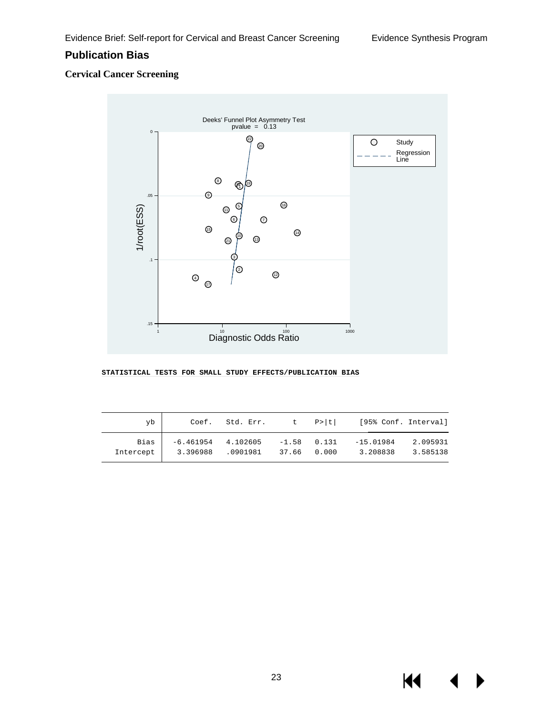#### **Publication Bias**

#### **Cervical Cancer Screening**



#### **STATISTICAL TESTS FOR SMALL STUDY EFFECTS/PUBLICATION BIAS**

| yb        | Coef.       | Std. Err. |       | t P> t        | [95% Conf. Interval] |          |
|-----------|-------------|-----------|-------|---------------|----------------------|----------|
| Bias      | $-6.461954$ | 4.102605  | 37.66 | $-1.58$ 0.131 | $-15.01984$          | 2.095931 |
| Intercept | 3.396988    | .0901981  |       | 0.000         | 3.208838             | 3.585138 |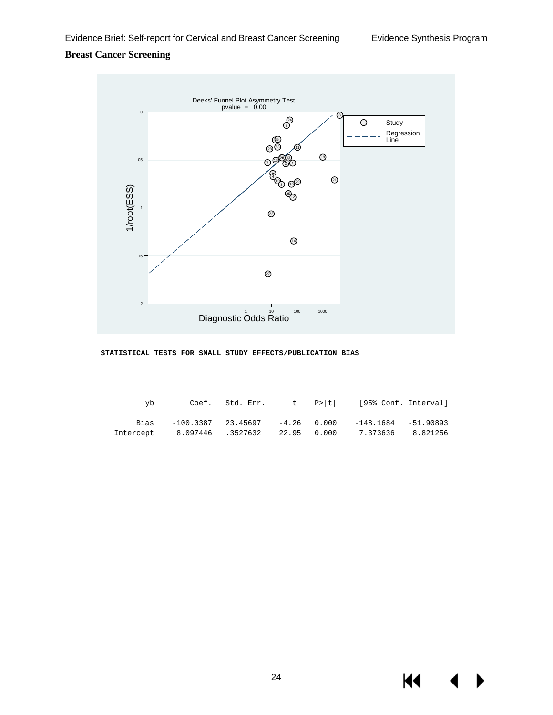#### **Breast Cancer Screening**



#### **STATISTICAL TESTS FOR SMALL STUDY EFFECTS/PUBLICATION BIAS**

| yb                |          | $Coef.$ Std. Err. t $P> t $                    |             | [95% Conf. Interval]  |                         |
|-------------------|----------|------------------------------------------------|-------------|-----------------------|-------------------------|
| Bias<br>Intercept | 8.097446 | $-100.0387$ 23.45697 $-4.26$ 0.000<br>.3527632 | 22.95 0.000 | -148.1684<br>7.373636 | $-51.90893$<br>8.821256 |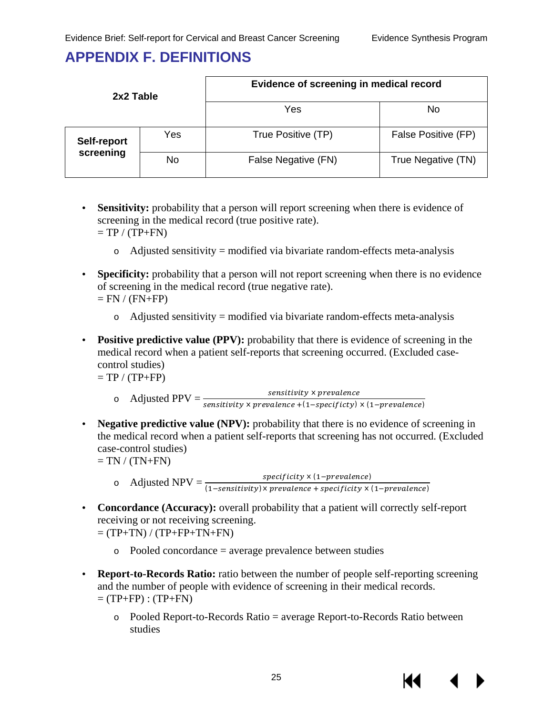### <span id="page-26-0"></span>**APPENDIX F. DEFINITIONS**

| 2x2 Table   |     | Evidence of screening in medical record |                     |  |  |  |
|-------------|-----|-----------------------------------------|---------------------|--|--|--|
|             |     | Yes                                     | No                  |  |  |  |
| Self-report | Yes | True Positive (TP)                      | False Positive (FP) |  |  |  |
| screening   | No  | False Negative (FN)                     | True Negative (TN)  |  |  |  |

**Sensitivity:** probability that a person will report screening when there is evidence of screening in the medical record (true positive rate).  $=$  TP  $/$  (TP+FN)

 $\circ$  Adjusted sensitivity = modified via bivariate random-effects meta-analysis

- **Specificity:** probability that a person will not report screening when there is no evidence of screening in the medical record (true negative rate).  $=$  FN  $/$  (FN+FP)
	- $\circ$  Adjusted sensitivity = modified via bivariate random-effects meta-analysis
- **Positive predictive value (PPV):** probability that there is evidence of screening in the medical record when a patient self-reports that screening occurred. (Excluded casecontrol studies)

 $=$  TP  $/$  (TP+FP)

- $\circ$  Adjusted PPV =  $\frac{2}{sensitivity \times prevalence}$ <br>  $\circ$  Adjusted PPV =  $\frac{2}{sensitivity \times prevalence + (1-specificty) \times (1-prevalence)}$
- **Negative predictive value (NPV):** probability that there is no evidence of screening in the medical record when a patient self-reports that screening has not occurred. (Excluded case-control studies)

 $=$  TN  $/$  (TN+FN)

- o Adjusted NPV =  $\frac{\text{speciticity} \times (1-prevalence)}{(1-censitinity) \times meanence + specificity \times}$ (1–sensitivity)× prevalence + specificity × (1–prevalence)
- **Concordance (Accuracy):** overall probability that a patient will correctly self-report receiving or not receiving screening.  $=$  (TP+TN) / (TP+FP+TN+FN)
	- $\circ$  Pooled concordance = average prevalence between studies
- **Report-to-Records Ratio:** ratio between the number of people self-reporting screening and the number of people with evidence of screening in their medical records.  $=$  (TP+FP) : (TP+FN)
	- o Pooled Report-to-Records Ratio = average Report-to-Records Ratio between studies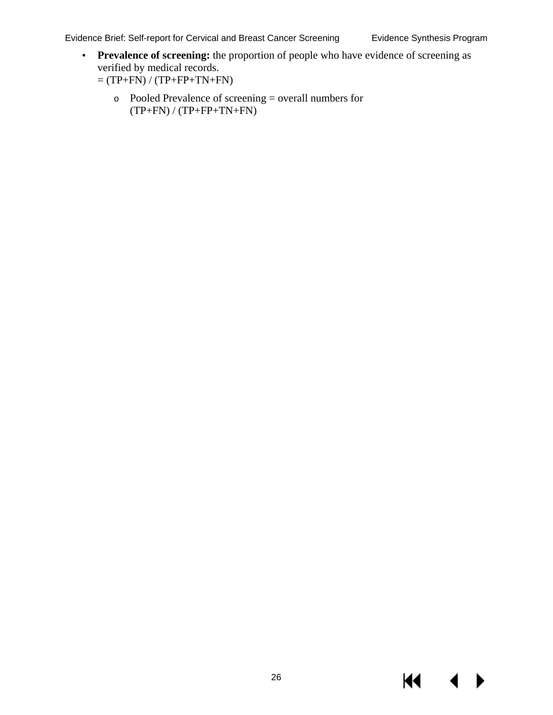Evidence Brief: Self-report for Cervical and Breast Cancer Screening Evidence Synthesis Program

**KK 4** 

▶

- **Prevalence of screening:** the proportion of people who have evidence of screening as  $\mathbb{Z}^2$ verified by medical records.
	- $=$  (TP+FN) / (TP+FP+TN+FN)
		- o Pooled Prevalence of screening = overall numbers for  $(TP+FN) / (TP+FP+TN+FN)$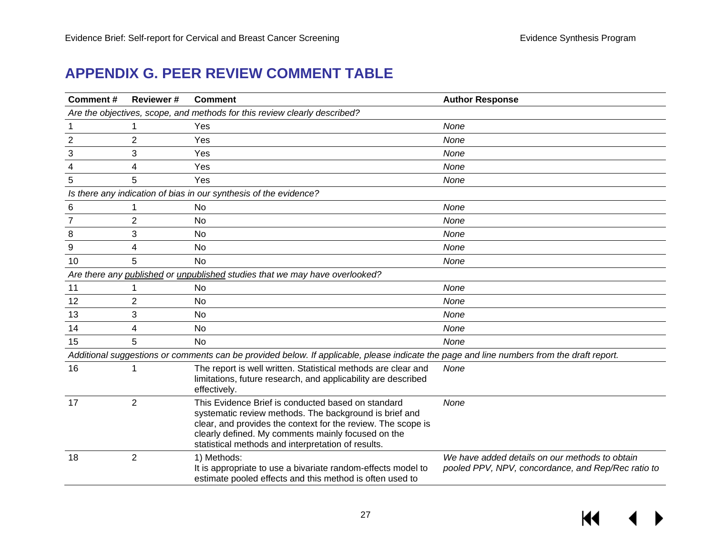# **APPENDIX G. PEER REVIEW COMMENT TABLE**

<span id="page-28-0"></span>

| Comment#       | <b>Reviewer#</b> | <b>Comment</b>                                                                                                                                                                                                                                                                           | <b>Author Response</b>                                                                               |
|----------------|------------------|------------------------------------------------------------------------------------------------------------------------------------------------------------------------------------------------------------------------------------------------------------------------------------------|------------------------------------------------------------------------------------------------------|
|                |                  | Are the objectives, scope, and methods for this review clearly described?                                                                                                                                                                                                                |                                                                                                      |
|                | 1                | Yes                                                                                                                                                                                                                                                                                      | None                                                                                                 |
| $\overline{2}$ | 2                | Yes                                                                                                                                                                                                                                                                                      | None                                                                                                 |
| 3              | 3                | Yes                                                                                                                                                                                                                                                                                      | None                                                                                                 |
| 4              | 4                | Yes                                                                                                                                                                                                                                                                                      | None                                                                                                 |
| 5              | 5                | Yes                                                                                                                                                                                                                                                                                      | None                                                                                                 |
|                |                  | Is there any indication of bias in our synthesis of the evidence?                                                                                                                                                                                                                        |                                                                                                      |
| 6              | 1                | No                                                                                                                                                                                                                                                                                       | None                                                                                                 |
|                | $\overline{2}$   | No                                                                                                                                                                                                                                                                                       | None                                                                                                 |
| 8              | 3                | No                                                                                                                                                                                                                                                                                       | None                                                                                                 |
| 9              | 4                | No                                                                                                                                                                                                                                                                                       | None                                                                                                 |
| 10             | 5                | No                                                                                                                                                                                                                                                                                       | None                                                                                                 |
|                |                  | Are there any published or unpublished studies that we may have overlooked?                                                                                                                                                                                                              |                                                                                                      |
| 11             |                  | No.                                                                                                                                                                                                                                                                                      | None                                                                                                 |
| 12             | 2                | <b>No</b>                                                                                                                                                                                                                                                                                | None                                                                                                 |
| 13             | 3                | No                                                                                                                                                                                                                                                                                       | None                                                                                                 |
| 14             | 4                | No                                                                                                                                                                                                                                                                                       | None                                                                                                 |
| 15             | 5.               | No                                                                                                                                                                                                                                                                                       | None                                                                                                 |
|                |                  | Additional suggestions or comments can be provided below. If applicable, please indicate the page and line numbers from the draft report.                                                                                                                                                |                                                                                                      |
| 16             |                  | The report is well written. Statistical methods are clear and<br>limitations, future research, and applicability are described<br>effectively.                                                                                                                                           | None                                                                                                 |
| 17             | 2                | This Evidence Brief is conducted based on standard<br>systematic review methods. The background is brief and<br>clear, and provides the context for the review. The scope is<br>clearly defined. My comments mainly focused on the<br>statistical methods and interpretation of results. | None                                                                                                 |
| 18             | $\overline{2}$   | 1) Methods:<br>It is appropriate to use a bivariate random-effects model to<br>estimate pooled effects and this method is often used to                                                                                                                                                  | We have added details on our methods to obtain<br>pooled PPV, NPV, concordance, and Rep/Rec ratio to |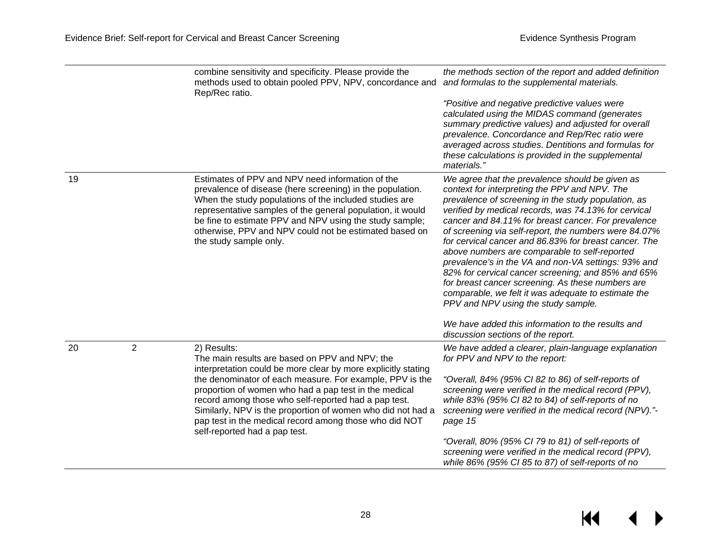$M \leftarrow \leftarrow$ 

|    |                | combine sensitivity and specificity. Please provide the<br>methods used to obtain pooled PPV, NPV, concordance and<br>Rep/Rec ratio.                                                                                                                                                                                                                                                 | the methods section of the report and added definition<br>and formulas to the supplemental materials.                                                                                                                                                                                                                                                                                                                                                                                                                                                                                                                                                                                                                                                          |
|----|----------------|--------------------------------------------------------------------------------------------------------------------------------------------------------------------------------------------------------------------------------------------------------------------------------------------------------------------------------------------------------------------------------------|----------------------------------------------------------------------------------------------------------------------------------------------------------------------------------------------------------------------------------------------------------------------------------------------------------------------------------------------------------------------------------------------------------------------------------------------------------------------------------------------------------------------------------------------------------------------------------------------------------------------------------------------------------------------------------------------------------------------------------------------------------------|
|    |                |                                                                                                                                                                                                                                                                                                                                                                                      | "Positive and negative predictive values were<br>calculated using the MIDAS command (generates<br>summary predictive values) and adjusted for overall<br>prevalence. Concordance and Rep/Rec ratio were<br>averaged across studies. Dentitions and formulas for<br>these calculations is provided in the supplemental<br>materials."                                                                                                                                                                                                                                                                                                                                                                                                                           |
| 19 |                | Estimates of PPV and NPV need information of the<br>prevalence of disease (here screening) in the population.<br>When the study populations of the included studies are<br>representative samples of the general population, it would<br>be fine to estimate PPV and NPV using the study sample;<br>otherwise, PPV and NPV could not be estimated based on<br>the study sample only. | We agree that the prevalence should be given as<br>context for interpreting the PPV and NPV. The<br>prevalence of screening in the study population, as<br>verified by medical records, was 74.13% for cervical<br>cancer and 84.11% for breast cancer. For prevalence<br>of screening via self-report, the numbers were 84.07%<br>for cervical cancer and 86.83% for breast cancer. The<br>above numbers are comparable to self-reported<br>prevalence's in the VA and non-VA settings: 93% and<br>82% for cervical cancer screening; and 85% and 65%<br>for breast cancer screening. As these numbers are<br>comparable, we felt it was adequate to estimate the<br>PPV and NPV using the study sample.<br>We have added this information to the results and |
|    |                |                                                                                                                                                                                                                                                                                                                                                                                      | discussion sections of the report.                                                                                                                                                                                                                                                                                                                                                                                                                                                                                                                                                                                                                                                                                                                             |
| 20 | $\overline{2}$ | 2) Results:<br>The main results are based on PPV and NPV; the<br>interpretation could be more clear by more explicitly stating                                                                                                                                                                                                                                                       | We have added a clearer, plain-language explanation<br>for PPV and NPV to the report:                                                                                                                                                                                                                                                                                                                                                                                                                                                                                                                                                                                                                                                                          |
|    |                | the denominator of each measure. For example, PPV is the<br>proportion of women who had a pap test in the medical<br>record among those who self-reported had a pap test.<br>Similarly, NPV is the proportion of women who did not had a<br>pap test in the medical record among those who did NOT<br>self-reported had a pap test.                                                  | "Overall, 84% (95% CI 82 to 86) of self-reports of<br>screening were verified in the medical record (PPV),<br>while 83% (95% CI 82 to 84) of self-reports of no<br>screening were verified in the medical record (NPV)."-<br>page 15                                                                                                                                                                                                                                                                                                                                                                                                                                                                                                                           |
|    |                |                                                                                                                                                                                                                                                                                                                                                                                      | "Overall, 80% (95% CI 79 to 81) of self-reports of<br>screening were verified in the medical record (PPV),<br>while 86% (95% CI 85 to 87) of self-reports of no                                                                                                                                                                                                                                                                                                                                                                                                                                                                                                                                                                                                |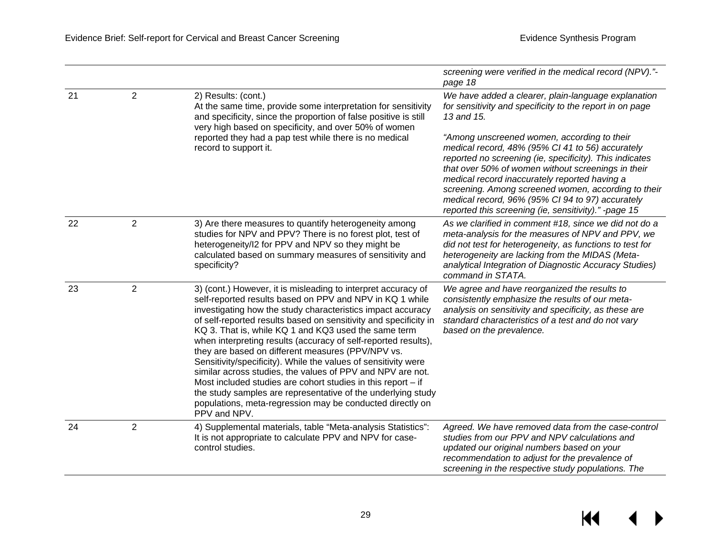|    |                |                                                                                                                                                                                                                                                                                                                                                                                                                                                                                                                                                                                                                                                                                                                                                                                            | screening were verified in the medical record (NPV)."-<br>page 18                                                                                                                                                                                                                                                                                                                                                                                                                                                                                                     |
|----|----------------|--------------------------------------------------------------------------------------------------------------------------------------------------------------------------------------------------------------------------------------------------------------------------------------------------------------------------------------------------------------------------------------------------------------------------------------------------------------------------------------------------------------------------------------------------------------------------------------------------------------------------------------------------------------------------------------------------------------------------------------------------------------------------------------------|-----------------------------------------------------------------------------------------------------------------------------------------------------------------------------------------------------------------------------------------------------------------------------------------------------------------------------------------------------------------------------------------------------------------------------------------------------------------------------------------------------------------------------------------------------------------------|
| 21 | 2              | 2) Results: (cont.)<br>At the same time, provide some interpretation for sensitivity<br>and specificity, since the proportion of false positive is still<br>very high based on specificity, and over 50% of women<br>reported they had a pap test while there is no medical<br>record to support it.                                                                                                                                                                                                                                                                                                                                                                                                                                                                                       | We have added a clearer, plain-language explanation<br>for sensitivity and specificity to the report in on page<br>13 and 15.<br>"Among unscreened women, according to their<br>medical record, 48% (95% CI 41 to 56) accurately<br>reported no screening (ie, specificity). This indicates<br>that over 50% of women without screenings in their<br>medical record inaccurately reported having a<br>screening. Among screened women, according to their<br>medical record, 96% (95% CI 94 to 97) accurately<br>reported this screening (ie, sensitivity)." -page 15 |
| 22 | $\overline{2}$ | 3) Are there measures to quantify heterogeneity among<br>studies for NPV and PPV? There is no forest plot, test of<br>heterogeneity/I2 for PPV and NPV so they might be<br>calculated based on summary measures of sensitivity and<br>specificity?                                                                                                                                                                                                                                                                                                                                                                                                                                                                                                                                         | As we clarified in comment #18, since we did not do a<br>meta-analysis for the measures of NPV and PPV, we<br>did not test for heterogeneity, as functions to test for<br>heterogeneity are lacking from the MIDAS (Meta-<br>analytical Integration of Diagnostic Accuracy Studies)<br>command in STATA.                                                                                                                                                                                                                                                              |
| 23 | $\overline{2}$ | 3) (cont.) However, it is misleading to interpret accuracy of<br>self-reported results based on PPV and NPV in KQ 1 while<br>investigating how the study characteristics impact accuracy<br>of self-reported results based on sensitivity and specificity in<br>KQ 3. That is, while KQ 1 and KQ3 used the same term<br>when interpreting results (accuracy of self-reported results),<br>they are based on different measures (PPV/NPV vs.<br>Sensitivity/specificity). While the values of sensitivity were<br>similar across studies, the values of PPV and NPV are not.<br>Most included studies are cohort studies in this report $-$ if<br>the study samples are representative of the underlying study<br>populations, meta-regression may be conducted directly on<br>PPV and NPV. | We agree and have reorganized the results to<br>consistently emphasize the results of our meta-<br>analysis on sensitivity and specificity, as these are<br>standard characteristics of a test and do not vary<br>based on the prevalence.                                                                                                                                                                                                                                                                                                                            |
| 24 | $\overline{2}$ | 4) Supplemental materials, table "Meta-analysis Statistics":<br>It is not appropriate to calculate PPV and NPV for case-<br>control studies.                                                                                                                                                                                                                                                                                                                                                                                                                                                                                                                                                                                                                                               | Agreed. We have removed data from the case-control<br>studies from our PPV and NPV calculations and<br>updated our original numbers based on your<br>recommendation to adjust for the prevalence of<br>screening in the respective study populations. The                                                                                                                                                                                                                                                                                                             |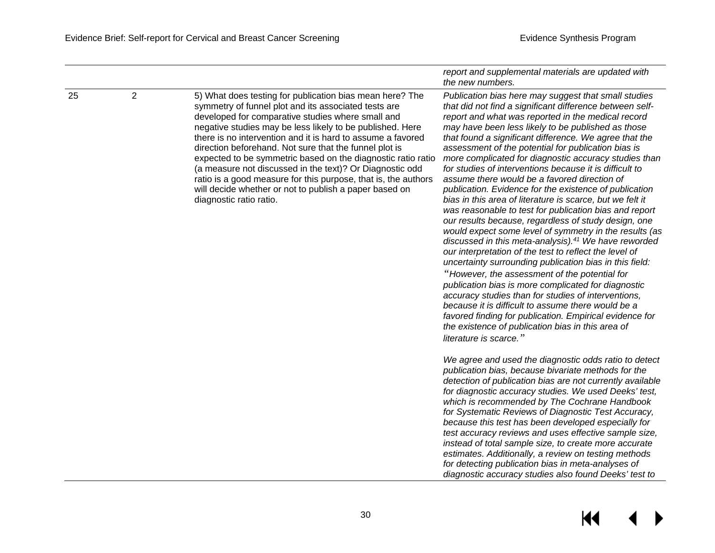|    |                |                                                                                                                                                                                                                                                                                                                                                                                                                                                                                                                                                                                                                                                | report and supplemental materials are updated with<br>the new numbers.                                                                                                                                                                                                                                                                                                                                                                                                                                                                                                                                                                                                                                                                                                                                                                                                                                                                                                                                                                                                                                                                                                                                                                                                                                                                                                                                                                                                                       |
|----|----------------|------------------------------------------------------------------------------------------------------------------------------------------------------------------------------------------------------------------------------------------------------------------------------------------------------------------------------------------------------------------------------------------------------------------------------------------------------------------------------------------------------------------------------------------------------------------------------------------------------------------------------------------------|----------------------------------------------------------------------------------------------------------------------------------------------------------------------------------------------------------------------------------------------------------------------------------------------------------------------------------------------------------------------------------------------------------------------------------------------------------------------------------------------------------------------------------------------------------------------------------------------------------------------------------------------------------------------------------------------------------------------------------------------------------------------------------------------------------------------------------------------------------------------------------------------------------------------------------------------------------------------------------------------------------------------------------------------------------------------------------------------------------------------------------------------------------------------------------------------------------------------------------------------------------------------------------------------------------------------------------------------------------------------------------------------------------------------------------------------------------------------------------------------|
| 25 | $\overline{2}$ | 5) What does testing for publication bias mean here? The<br>symmetry of funnel plot and its associated tests are<br>developed for comparative studies where small and<br>negative studies may be less likely to be published. Here<br>there is no intervention and it is hard to assume a favored<br>direction beforehand. Not sure that the funnel plot is<br>expected to be symmetric based on the diagnostic ratio ratio<br>(a measure not discussed in the text)? Or Diagnostic odd<br>ratio is a good measure for this purpose, that is, the authors<br>will decide whether or not to publish a paper based on<br>diagnostic ratio ratio. | Publication bias here may suggest that small studies<br>that did not find a significant difference between self-<br>report and what was reported in the medical record<br>may have been less likely to be published as those<br>that found a significant difference. We agree that the<br>assessment of the potential for publication bias is<br>more complicated for diagnostic accuracy studies than<br>for studies of interventions because it is difficult to<br>assume there would be a favored direction of<br>publication. Evidence for the existence of publication<br>bias in this area of literature is scarce, but we felt it<br>was reasonable to test for publication bias and report<br>our results because, regardless of study design, one<br>would expect some level of symmetry in the results (as<br>discussed in this meta-analysis). <sup>41</sup> We have reworded<br>our interpretation of the test to reflect the level of<br>uncertainty surrounding publication bias in this field:<br>"However, the assessment of the potential for<br>publication bias is more complicated for diagnostic<br>accuracy studies than for studies of interventions,<br>because it is difficult to assume there would be a<br>favored finding for publication. Empirical evidence for<br>the existence of publication bias in this area of<br>literature is scarce."<br>We agree and used the diagnostic odds ratio to detect<br>publication bias, because bivariate methods for the |
|    |                |                                                                                                                                                                                                                                                                                                                                                                                                                                                                                                                                                                                                                                                | detection of publication bias are not currently available<br>for diagnostic accuracy studies. We used Deeks' test,<br>which is recommended by The Cochrane Handbook<br>for Systematic Reviews of Diagnostic Test Accuracy,<br>because this test has been developed especially for<br>test accuracy reviews and uses effective sample size,<br>instead of total sample size, to create more accurate<br>estimates. Additionally, a review on testing methods<br>for detecting publication bias in meta-analyses of<br>diagnostic accuracy studies also found Deeks' test to                                                                                                                                                                                                                                                                                                                                                                                                                                                                                                                                                                                                                                                                                                                                                                                                                                                                                                                   |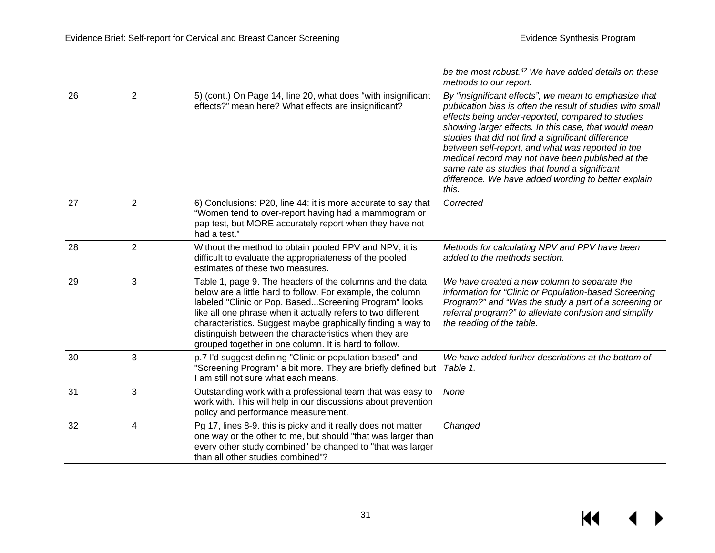$\overline{ }$ 

 $\overline{\mathbf{M}}$ 

|    |                |                                                                                                                                                                                                                                                                                                                                                                                                                                  | be the most robust. <sup>42</sup> We have added details on these<br>methods to our report.                                                                                                                                                                                                                                                                                                                                                                                                                          |
|----|----------------|----------------------------------------------------------------------------------------------------------------------------------------------------------------------------------------------------------------------------------------------------------------------------------------------------------------------------------------------------------------------------------------------------------------------------------|---------------------------------------------------------------------------------------------------------------------------------------------------------------------------------------------------------------------------------------------------------------------------------------------------------------------------------------------------------------------------------------------------------------------------------------------------------------------------------------------------------------------|
| 26 | $\overline{2}$ | 5) (cont.) On Page 14, line 20, what does "with insignificant<br>effects?" mean here? What effects are insignificant?                                                                                                                                                                                                                                                                                                            | By "insignificant effects", we meant to emphasize that<br>publication bias is often the result of studies with small<br>effects being under-reported, compared to studies<br>showing larger effects. In this case, that would mean<br>studies that did not find a significant difference<br>between self-report, and what was reported in the<br>medical record may not have been published at the<br>same rate as studies that found a significant<br>difference. We have added wording to better explain<br>this. |
| 27 | $\overline{2}$ | 6) Conclusions: P20, line 44: it is more accurate to say that<br>"Women tend to over-report having had a mammogram or<br>pap test, but MORE accurately report when they have not<br>had a test."                                                                                                                                                                                                                                 | Corrected                                                                                                                                                                                                                                                                                                                                                                                                                                                                                                           |
| 28 | $\overline{2}$ | Without the method to obtain pooled PPV and NPV, it is<br>difficult to evaluate the appropriateness of the pooled<br>estimates of these two measures.                                                                                                                                                                                                                                                                            | Methods for calculating NPV and PPV have been<br>added to the methods section.                                                                                                                                                                                                                                                                                                                                                                                                                                      |
| 29 | 3              | Table 1, page 9. The headers of the columns and the data<br>below are a little hard to follow. For example, the column<br>labeled "Clinic or Pop. BasedScreening Program" looks<br>like all one phrase when it actually refers to two different<br>characteristics. Suggest maybe graphically finding a way to<br>distinguish between the characteristics when they are<br>grouped together in one column. It is hard to follow. | We have created a new column to separate the<br>information for "Clinic or Population-based Screening<br>Program?" and "Was the study a part of a screening or<br>referral program?" to alleviate confusion and simplify<br>the reading of the table.                                                                                                                                                                                                                                                               |
| 30 | 3              | p.7 I'd suggest defining "Clinic or population based" and<br>"Screening Program" a bit more. They are briefly defined but<br>I am still not sure what each means.                                                                                                                                                                                                                                                                | We have added further descriptions at the bottom of<br>Table 1.                                                                                                                                                                                                                                                                                                                                                                                                                                                     |
| 31 | 3              | Outstanding work with a professional team that was easy to<br>work with. This will help in our discussions about prevention<br>policy and performance measurement.                                                                                                                                                                                                                                                               | None                                                                                                                                                                                                                                                                                                                                                                                                                                                                                                                |
| 32 | 4              | Pg 17, lines 8-9. this is picky and it really does not matter<br>one way or the other to me, but should "that was larger than<br>every other study combined" be changed to "that was larger<br>than all other studies combined"?                                                                                                                                                                                                 | Changed                                                                                                                                                                                                                                                                                                                                                                                                                                                                                                             |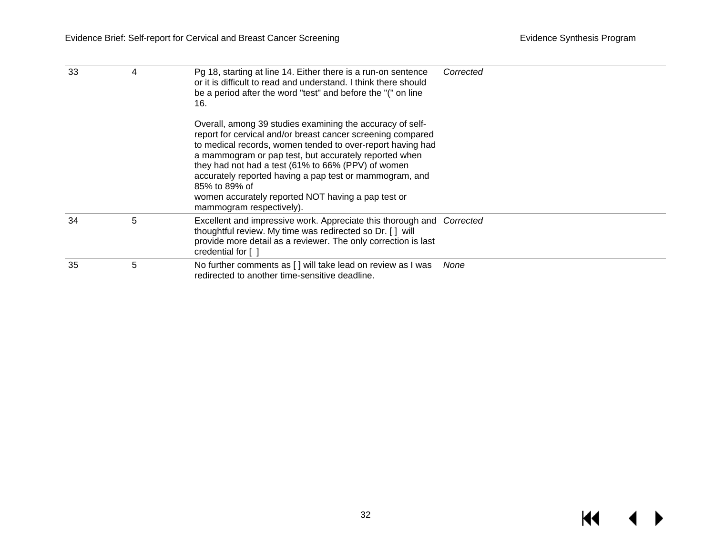$M \rightarrow$ 

| 33 | 4 | Pg 18, starting at line 14. Either there is a run-on sentence<br>or it is difficult to read and understand. I think there should<br>be a period after the word "test" and before the "(" on line<br>16.                                                                                                                                                                                                                                                             | Corrected |
|----|---|---------------------------------------------------------------------------------------------------------------------------------------------------------------------------------------------------------------------------------------------------------------------------------------------------------------------------------------------------------------------------------------------------------------------------------------------------------------------|-----------|
|    |   | Overall, among 39 studies examining the accuracy of self-<br>report for cervical and/or breast cancer screening compared<br>to medical records, women tended to over-report having had<br>a mammogram or pap test, but accurately reported when<br>they had not had a test (61% to 66% (PPV) of women<br>accurately reported having a pap test or mammogram, and<br>85% to 89% of<br>women accurately reported NOT having a pap test or<br>mammogram respectively). |           |
| 34 | 5 | Excellent and impressive work. Appreciate this thorough and Corrected<br>thoughtful review. My time was redirected so Dr. [ ] will<br>provide more detail as a reviewer. The only correction is last<br>credential for []                                                                                                                                                                                                                                           |           |
| 35 | 5 | No further comments as [ ] will take lead on review as I was<br>redirected to another time-sensitive deadline.                                                                                                                                                                                                                                                                                                                                                      | None      |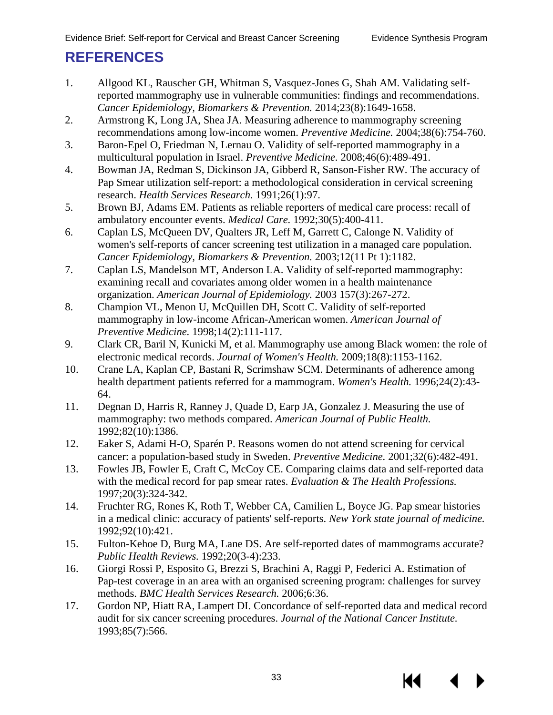# <span id="page-34-0"></span>**REFERENCES**

- 1. Allgood KL, Rauscher GH, Whitman S, Vasquez-Jones G, Shah AM. Validating selfreported mammography use in vulnerable communities: findings and recommendations. *Cancer Epidemiology, Biomarkers & Prevention.* 2014;23(8):1649-1658.
- 2. Armstrong K, Long JA, Shea JA. Measuring adherence to mammography screening recommendations among low-income women. *Preventive Medicine.* 2004;38(6):754-760.
- 3. Baron-Epel O, Friedman N, Lernau O. Validity of self-reported mammography in a multicultural population in Israel. *Preventive Medicine.* 2008;46(6):489-491.
- 4. Bowman JA, Redman S, Dickinson JA, Gibberd R, Sanson-Fisher RW. The accuracy of Pap Smear utilization self-report: a methodological consideration in cervical screening research. *Health Services Research.* 1991;26(1):97.
- 5. Brown BJ, Adams EM. Patients as reliable reporters of medical care process: recall of ambulatory encounter events. *Medical Care.* 1992;30(5):400-411.
- 6. Caplan LS, McQueen DV, Qualters JR, Leff M, Garrett C, Calonge N. Validity of women's self-reports of cancer screening test utilization in a managed care population. *Cancer Epidemiology, Biomarkers & Prevention.* 2003;12(11 Pt 1):1182.
- 7. Caplan LS, Mandelson MT, Anderson LA. Validity of self-reported mammography: examining recall and covariates among older women in a health maintenance organization. *American Journal of Epidemiology.* 2003 157(3):267-272.
- 8. Champion VL, Menon U, McQuillen DH, Scott C. Validity of self-reported mammography in low-income African-American women. *American Journal of Preventive Medicine.* 1998;14(2):111-117.
- 9. Clark CR, Baril N, Kunicki M, et al. Mammography use among Black women: the role of electronic medical records. *Journal of Women's Health.* 2009;18(8):1153-1162.
- 10. Crane LA, Kaplan CP, Bastani R, Scrimshaw SCM. Determinants of adherence among health department patients referred for a mammogram. *Women's Health.* 1996;24(2):43- 64.
- 11. Degnan D, Harris R, Ranney J, Quade D, Earp JA, Gonzalez J. Measuring the use of mammography: two methods compared. *American Journal of Public Health.*  1992;82(10):1386.
- 12. Eaker S, Adami H-O, Sparén P. Reasons women do not attend screening for cervical cancer: a population-based study in Sweden. *Preventive Medicine.* 2001;32(6):482-491.
- 13. Fowles JB, Fowler E, Craft C, McCoy CE. Comparing claims data and self-reported data with the medical record for pap smear rates. *Evaluation & The Health Professions.*  1997;20(3):324-342.
- 14. Fruchter RG, Rones K, Roth T, Webber CA, Camilien L, Boyce JG. Pap smear histories in a medical clinic: accuracy of patients' self-reports. *New York state journal of medicine.*  1992;92(10):421.
- 15. Fulton-Kehoe D, Burg MA, Lane DS. Are self-reported dates of mammograms accurate? *Public Health Reviews.* 1992;20(3-4):233.
- 16. Giorgi Rossi P, Esposito G, Brezzi S, Brachini A, Raggi P, Federici A. Estimation of Pap-test coverage in an area with an organised screening program: challenges for survey methods. *BMC Health Services Research.* 2006;6:36.
- 17. Gordon NP, Hiatt RA, Lampert DI. Concordance of self-reported data and medical record audit for six cancer screening procedures. *Journal of the National Cancer Institute.*  1993;85(7):566.

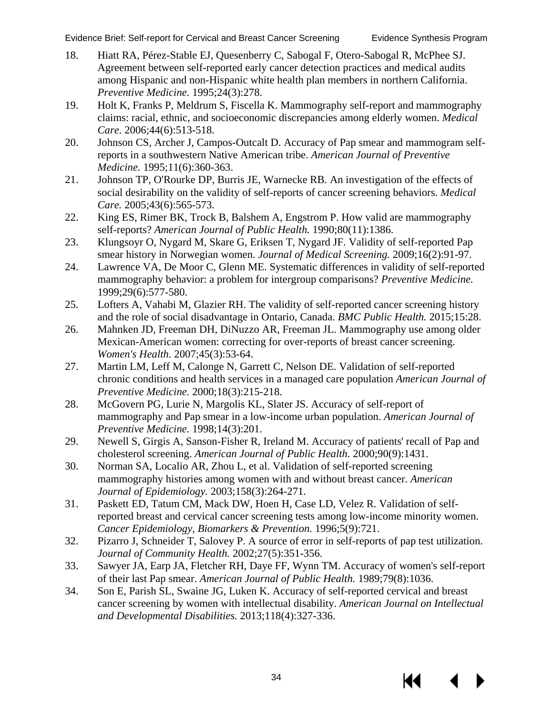Evidence Brief: Self-report for Cervical and Breast Cancer Screening Evidence Synthesis Program

- 18. Hiatt RA, Pérez-Stable EJ, Quesenberry C, Sabogal F, Otero-Sabogal R, McPhee SJ. Agreement between self-reported early cancer detection practices and medical audits among Hispanic and non-Hispanic white health plan members in northern California. *Preventive Medicine.* 1995;24(3):278.
- 19. Holt K, Franks P, Meldrum S, Fiscella K. Mammography self-report and mammography claims: racial, ethnic, and socioeconomic discrepancies among elderly women. *Medical Care.* 2006;44(6):513-518.
- 20. Johnson CS, Archer J, Campos-Outcalt D. Accuracy of Pap smear and mammogram selfreports in a southwestern Native American tribe. *American Journal of Preventive Medicine.* 1995;11(6):360-363.
- 21. Johnson TP, O'Rourke DP, Burris JE, Warnecke RB. An investigation of the effects of social desirability on the validity of self-reports of cancer screening behaviors. *Medical Care.* 2005;43(6):565-573.
- 22. King ES, Rimer BK, Trock B, Balshem A, Engstrom P. How valid are mammography self-reports? *American Journal of Public Health.* 1990;80(11):1386.
- 23. Klungsoyr O, Nygard M, Skare G, Eriksen T, Nygard JF. Validity of self-reported Pap smear history in Norwegian women. *Journal of Medical Screening.* 2009;16(2):91-97.
- 24. Lawrence VA, De Moor C, Glenn ME. Systematic differences in validity of self-reported mammography behavior: a problem for intergroup comparisons? *Preventive Medicine.*  1999;29(6):577-580.
- 25. Lofters A, Vahabi M, Glazier RH. The validity of self-reported cancer screening history and the role of social disadvantage in Ontario, Canada. *BMC Public Health.* 2015;15:28.
- 26. Mahnken JD, Freeman DH, DiNuzzo AR, Freeman JL. Mammography use among older Mexican-American women: correcting for over-reports of breast cancer screening. *Women's Health.* 2007;45(3):53-64.
- 27. Martin LM, Leff M, Calonge N, Garrett C, Nelson DE. Validation of self-reported chronic conditions and health services in a managed care population *American Journal of Preventive Medicine.* 2000;18(3):215-218.
- 28. McGovern PG, Lurie N, Margolis KL, Slater JS. Accuracy of self-report of mammography and Pap smear in a low-income urban population. *American Journal of Preventive Medicine.* 1998;14(3):201.
- 29. Newell S, Girgis A, Sanson-Fisher R, Ireland M. Accuracy of patients' recall of Pap and cholesterol screening. *American Journal of Public Health.* 2000;90(9):1431.
- 30. Norman SA, Localio AR, Zhou L, et al. Validation of self-reported screening mammography histories among women with and without breast cancer. *American Journal of Epidemiology.* 2003;158(3):264-271.
- 31. Paskett ED, Tatum CM, Mack DW, Hoen H, Case LD, Velez R. Validation of selfreported breast and cervical cancer screening tests among low-income minority women. *Cancer Epidemiology, Biomarkers & Prevention.* 1996;5(9):721.
- 32. Pizarro J, Schneider T, Salovey P. A source of error in self-reports of pap test utilization. *Journal of Community Health.* 2002;27(5):351-356.
- 33. Sawyer JA, Earp JA, Fletcher RH, Daye FF, Wynn TM. Accuracy of women's self-report of their last Pap smear. *American Journal of Public Health.* 1989;79(8):1036.
- 34. Son E, Parish SL, Swaine JG, Luken K. Accuracy of self-reported cervical and breast cancer screening by women with intellectual disability. *American Journal on Intellectual and Developmental Disabilities.* 2013;118(4):327-336.

KK